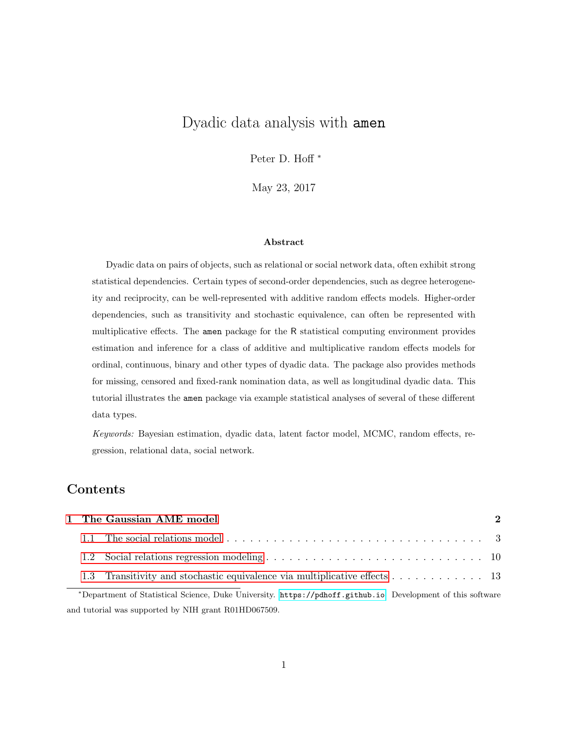# Dyadic data analysis with amen

Peter D. Hoff<sup>\*</sup>

May 23, 2017

#### Abstract

Dyadic data on pairs of objects, such as relational or social network data, often exhibit strong statistical dependencies. Certain types of second-order dependencies, such as degree heterogeneity and reciprocity, can be well-represented with additive random effects models. Higher-order dependencies, such as transitivity and stochastic equivalence, can often be represented with multiplicative effects. The amen package for the R statistical computing environment provides estimation and inference for a class of additive and multiplicative random effects models for ordinal, continuous, binary and other types of dyadic data. The package also provides methods for missing, censored and fixed-rank nomination data, as well as longitudinal dyadic data. This tutorial illustrates the amen package via example statistical analyses of several of these different data types.

Keywords: Bayesian estimation, dyadic data, latent factor model, MCMC, random effects, regression, relational data, social network.

## Contents

|  | 1 The Gaussian AME model                                                                                    | 2 |
|--|-------------------------------------------------------------------------------------------------------------|---|
|  |                                                                                                             |   |
|  |                                                                                                             |   |
|  | 1.3 Transitivity and stochastic equivalence via multiplicative effects 13                                   |   |
|  | *Department of Statistical Science, Duke University. https://pdhoff.github.io. Development of this software |   |

and tutorial was supported by NIH grant R01HD067509.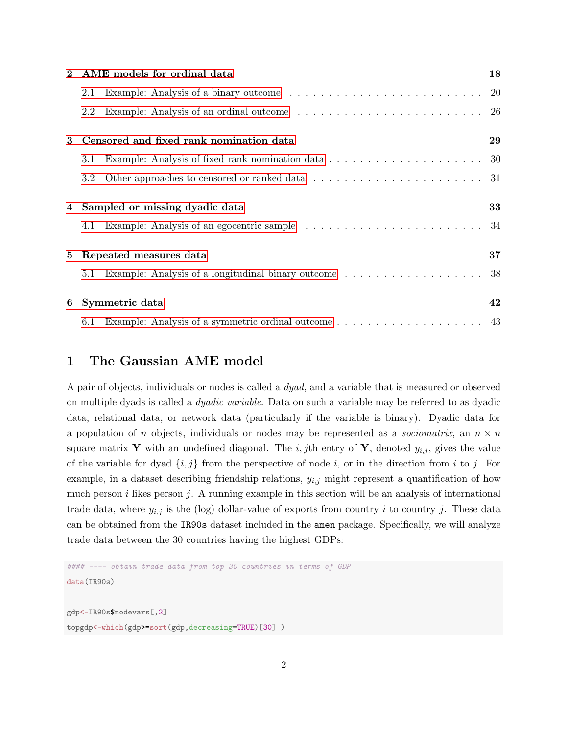| $\mathbf{2}$ | AME models for ordinal data                                                                                  | 18  |
|--------------|--------------------------------------------------------------------------------------------------------------|-----|
|              | 2.1                                                                                                          |     |
|              | 2.2                                                                                                          | -26 |
| 3            | Censored and fixed rank nomination data                                                                      | 29  |
|              | Example: Analysis of fixed rank nomination data $\ldots \ldots \ldots \ldots \ldots \ldots \ldots 30$<br>3.1 |     |
|              | 3.2                                                                                                          |     |
|              | 4 Sampled or missing dyadic data                                                                             | 33  |
|              | 4.1                                                                                                          |     |
| 5            | Repeated measures data                                                                                       | 37  |
|              | 5.1                                                                                                          |     |
| 6            | Symmetric data                                                                                               | 42  |
|              |                                                                                                              |     |

## <span id="page-1-0"></span>1 The Gaussian AME model

A pair of objects, individuals or nodes is called a dyad, and a variable that is measured or observed on multiple dyads is called a dyadic variable. Data on such a variable may be referred to as dyadic data, relational data, or network data (particularly if the variable is binary). Dyadic data for a population of n objects, individuals or nodes may be represented as a *sociomatrix*, an  $n \times n$ square matrix Y with an undefined diagonal. The i, jth entry of Y, denoted  $y_{i,j}$ , gives the value of the variable for dyad  $\{i, j\}$  from the perspective of node i, or in the direction from i to j. For example, in a dataset describing friendship relations,  $y_{i,j}$  might represent a quantification of how much person  $i$  likes person  $j$ . A running example in this section will be an analysis of international trade data, where  $y_{i,j}$  is the (log) dollar-value of exports from country i to country j. These data can be obtained from the IR90s dataset included in the amen package. Specifically, we will analyze trade data between the 30 countries having the highest GDPs:

```
#### ---- obtain trade data from top 30 countries in terms of GDP
data(IR90s)
gdp<-IR90s$nodevars[,2]
topgdp<-which(gdp>=sort(gdp,decreasing=TRUE)[30] )
```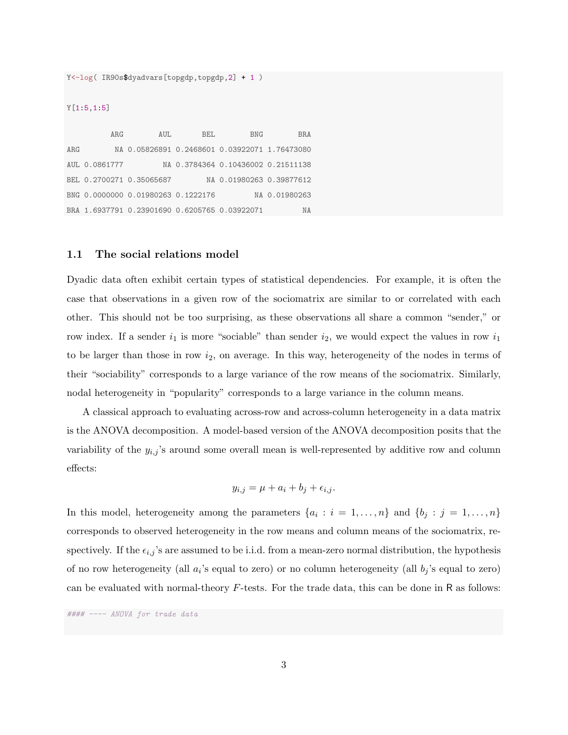Y<-log( IR90s\$dyadvars[topgdp,topgdp,2] + 1 )

#### Y[1:5,1:5]

ARG AUL BEL BNG BRA ARG NA 0.05826891 0.2468601 0.03922071 1.76473080 AUL 0.0861777 NA 0.3784364 0.10436002 0.21511138 BEL 0.2700271 0.35065687 NA 0.01980263 0.39877612 BNG 0.0000000 0.01980263 0.1222176 NA 0.01980263 BRA 1.6937791 0.23901690 0.6205765 0.03922071 NA

### <span id="page-2-0"></span>1.1 The social relations model

Dyadic data often exhibit certain types of statistical dependencies. For example, it is often the case that observations in a given row of the sociomatrix are similar to or correlated with each other. This should not be too surprising, as these observations all share a common "sender," or row index. If a sender  $i_1$  is more "sociable" than sender  $i_2$ , we would expect the values in row  $i_1$ to be larger than those in row  $i_2$ , on average. In this way, heterogeneity of the nodes in terms of their "sociability" corresponds to a large variance of the row means of the sociomatrix. Similarly, nodal heterogeneity in "popularity" corresponds to a large variance in the column means.

A classical approach to evaluating across-row and across-column heterogeneity in a data matrix is the ANOVA decomposition. A model-based version of the ANOVA decomposition posits that the variability of the  $y_{i,j}$ 's around some overall mean is well-represented by additive row and column effects:

$$
y_{i,j} = \mu + a_i + b_j + \epsilon_{i,j}.
$$

In this model, heterogeneity among the parameters  $\{a_i : i = 1, \ldots, n\}$  and  $\{b_j : j = 1, \ldots, n\}$ corresponds to observed heterogeneity in the row means and column means of the sociomatrix, respectively. If the  $\epsilon_{i,j}$ 's are assumed to be i.i.d. from a mean-zero normal distribution, the hypothesis of no row heterogeneity (all  $a_i$ 's equal to zero) or no column heterogeneity (all  $b_j$ 's equal to zero) can be evaluated with normal-theory  $F$ -tests. For the trade data, this can be done in R as follows:

#### ---- ANOVA for trade data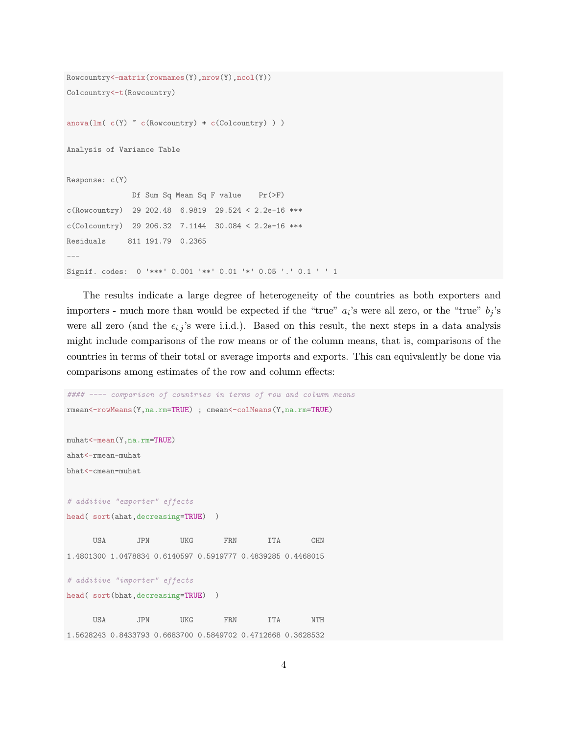```
Rowcountry<-matrix(rownames(Y),nrow(Y),ncol(Y))
Colcountry<-t(Rowcountry)
anova(lm( c(Y) \sim c(Row country) + c(Colcountry) ))
Analysis of Variance Table
Response: c(Y)
              Df Sum Sq Mean Sq F value Pr(>F)
c(Rowcountry) 29 202.48 6.9819 29.524 < 2.2e-16 ***
c(Colcountry) 29 206.32 7.1144 30.084 < 2.2e-16 ***
Residuals 811 191.79 0.2365
---
Signif. codes: 0 '***' 0.001 '**' 0.01 '*' 0.05 '.' 0.1 ' ' 1
```
The results indicate a large degree of heterogeneity of the countries as both exporters and importers - much more than would be expected if the "true"  $a_i$ 's were all zero, or the "true"  $b_j$ 's were all zero (and the  $\epsilon_{i,j}$ 's were i.i.d.). Based on this result, the next steps in a data analysis might include comparisons of the row means or of the column means, that is, comparisons of the countries in terms of their total or average imports and exports. This can equivalently be done via comparisons among estimates of the row and column effects:

```
#### ---- comparison of countries in terms of row and column means
rmean<-rowMeans(Y,na.rm=TRUE) ; cmean<-colMeans(Y,na.rm=TRUE)
muhat<-mean(Y,na.rm=TRUE)
ahat<-rmean-muhat
bhat<-cmean-muhat
# additive "exporter" effects
head( sort(ahat,decreasing=TRUE) )
     USA JPN UKG FRN ITA CHN
1.4801300 1.0478834 0.6140597 0.5919777 0.4839285 0.4468015
# additive "importer" effects
head( sort(bhat,decreasing=TRUE) )
     USA JPN UKG FRN ITA NTH
1.5628243 0.8433793 0.6683700 0.5849702 0.4712668 0.3628532
```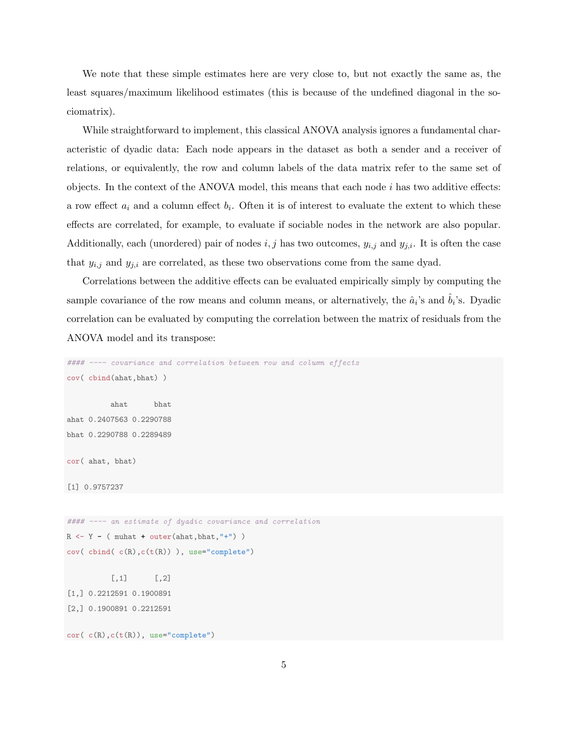We note that these simple estimates here are very close to, but not exactly the same as, the least squares/maximum likelihood estimates (this is because of the undefined diagonal in the sociomatrix).

While straightforward to implement, this classical ANOVA analysis ignores a fundamental characteristic of dyadic data: Each node appears in the dataset as both a sender and a receiver of relations, or equivalently, the row and column labels of the data matrix refer to the same set of objects. In the context of the ANOVA model, this means that each node  $i$  has two additive effects: a row effect  $a_i$  and a column effect  $b_i$ . Often it is of interest to evaluate the extent to which these effects are correlated, for example, to evaluate if sociable nodes in the network are also popular. Additionally, each (unordered) pair of nodes  $i, j$  has two outcomes,  $y_{i,j}$  and  $y_{j,i}$ . It is often the case that  $y_{i,j}$  and  $y_{j,i}$  are correlated, as these two observations come from the same dyad.

Correlations between the additive effects can be evaluated empirically simply by computing the sample covariance of the row means and column means, or alternatively, the  $\hat{a}_i$ 's and  $\hat{b}_i$ 's. Dyadic correlation can be evaluated by computing the correlation between the matrix of residuals from the ANOVA model and its transpose:

```
#### ---- covariance and correlation between row and column effects
cov( cbind(ahat,bhat) )
          ahat bhat
ahat 0.2407563 0.2290788
bhat 0.2290788 0.2289489
cor( ahat, bhat)
[1] 0.9757237
#### ---- an estimate of dyadic covariance and correlation
R \leftarrow Y - ( muhat + outer(ahat,bhat,"+") )
cov( cbind( c(R),c(t(R)) ), use="complete")
          [,1] [,2][1,] 0.2212591 0.1900891
[2,] 0.1900891 0.2212591
```
cor( c(R),c(t(R)), use="complete")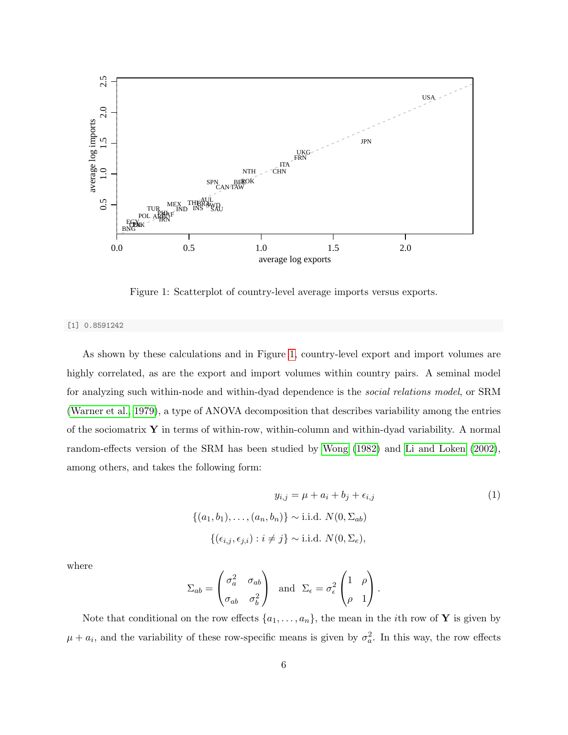

<span id="page-5-0"></span>Figure 1: Scatterplot of country-level average imports versus exports.

[1] 0.8591242

As shown by these calculations and in Figure [1,](#page-5-0) country-level export and import volumes are highly correlated, as are the export and import volumes within country pairs. A seminal model for analyzing such within-node and within-dyad dependence is the social relations model, or SRM [\(Warner et al., 1979\)](#page-47-0), a type of ANOVA decomposition that describes variability among the entries of the sociomatrix  $\bf{Y}$  in terms of within-row, within-column and within-dyad variability. A normal random-effects version of the SRM has been studied by [Wong](#page-47-1) [\(1982\)](#page-47-1) and [Li and Loken](#page-47-2) [\(2002\)](#page-47-2), among others, and takes the following form:

$$
y_{i,j} = \mu + a_i + b_j + \epsilon_{i,j}
$$
  

$$
\{(a_1, b_1), \dots, (a_n, b_n)\} \sim \text{i.i.d. } N(0, \Sigma_{ab})
$$
  

$$
\{(\epsilon_{i,j}, \epsilon_{j,i}) : i \neq j\} \sim \text{i.i.d. } N(0, \Sigma_e),
$$
 (1)

where

$$
\Sigma_{ab} = \begin{pmatrix} \sigma_a^2 & \sigma_{ab} \\ \sigma_{ab} & \sigma_b^2 \end{pmatrix} \text{ and } \Sigma_{\epsilon} = \sigma_{\epsilon}^2 \begin{pmatrix} 1 & \rho \\ \rho & 1 \end{pmatrix}.
$$

Note that conditional on the row effects  $\{a_1, \ldots, a_n\}$ , the mean in the *i*th row of **Y** is given by  $\mu + a_i$ , and the variability of these row-specific means is given by  $\sigma_a^2$ . In this way, the row effects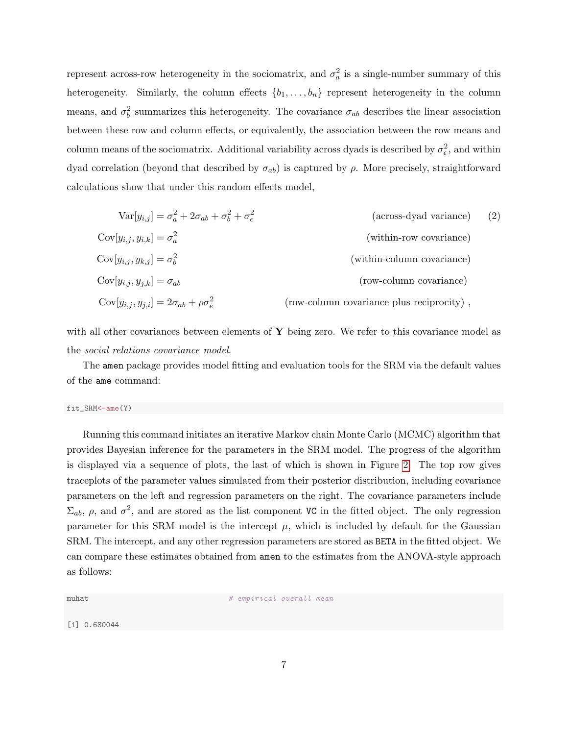represent across-row heterogeneity in the sociomatrix, and  $\sigma_a^2$  is a single-number summary of this heterogeneity. Similarly, the column effects  $\{b_1, \ldots, b_n\}$  represent heterogeneity in the column means, and  $\sigma_b^2$  summarizes this heterogeneity. The covariance  $\sigma_{ab}$  describes the linear association between these row and column effects, or equivalently, the association between the row means and column means of the sociomatrix. Additional variability across dyads is described by  $\sigma_{\epsilon}^2$ , and within dyad correlation (beyond that described by  $\sigma_{ab}$ ) is captured by ρ. More precisely, straightforward calculations show that under this random effects model,

$$
Var[y_{i,j}] = \sigma_a^2 + 2\sigma_{ab} + \sigma_b^2 + \sigma_\epsilon^2
$$
 (across-dyad variance) (2)  
\n
$$
Cov[y_{i,j}, y_{i,k}] = \sigma_a^2
$$
 (within-row covariance)  
\n
$$
Cov[y_{i,j}, y_{k,j}] = \sigma_b^2
$$
 (within-column covariance)  
\n
$$
Cov[y_{i,j}, y_{j,k}] = \sigma_{ab}
$$
 (row-column covariance)  
\n
$$
Cov[y_{i,j}, y_{j,i}] = 2\sigma_{ab} + \rho \sigma_e^2
$$
 (row-column covariance plus reciprocity),

with all other covariances between elements of  $\bf{Y}$  being zero. We refer to this covariance model as the social relations covariance model.

The amen package provides model fitting and evaluation tools for the SRM via the default values of the ame command:

#### fit\_SRM<-ame(Y)

Running this command initiates an iterative Markov chain Monte Carlo (MCMC) algorithm that provides Bayesian inference for the parameters in the SRM model. The progress of the algorithm is displayed via a sequence of plots, the last of which is shown in Figure [2.](#page-7-0) The top row gives traceplots of the parameter values simulated from their posterior distribution, including covariance parameters on the left and regression parameters on the right. The covariance parameters include  $\Sigma_{ab}$ ,  $\rho$ , and  $\sigma^2$ , and are stored as the list component VC in the fitted object. The only regression parameter for this SRM model is the intercept  $\mu$ , which is included by default for the Gaussian SRM. The intercept, and any other regression parameters are stored as BETA in the fitted object. We can compare these estimates obtained from amen to the estimates from the ANOVA-style approach as follows:

muhat  $\#$  empirical overall mean

[1] 0.680044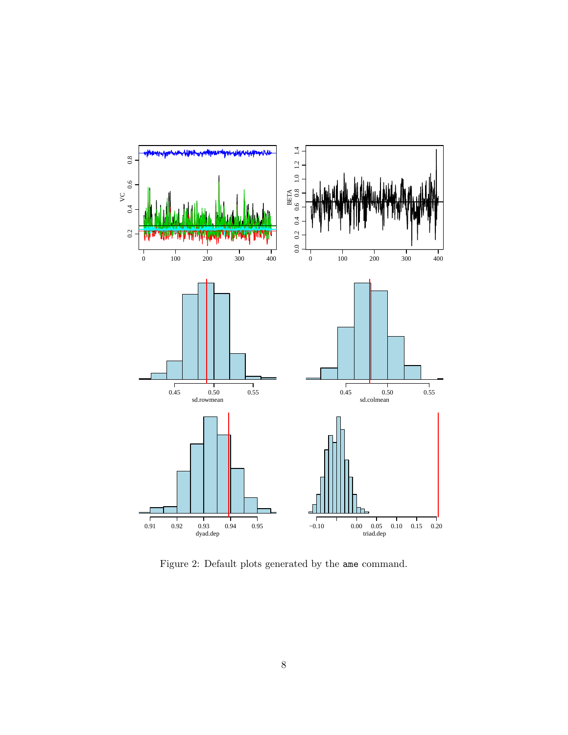

<span id="page-7-0"></span>Figure 2: Default plots generated by the ame command.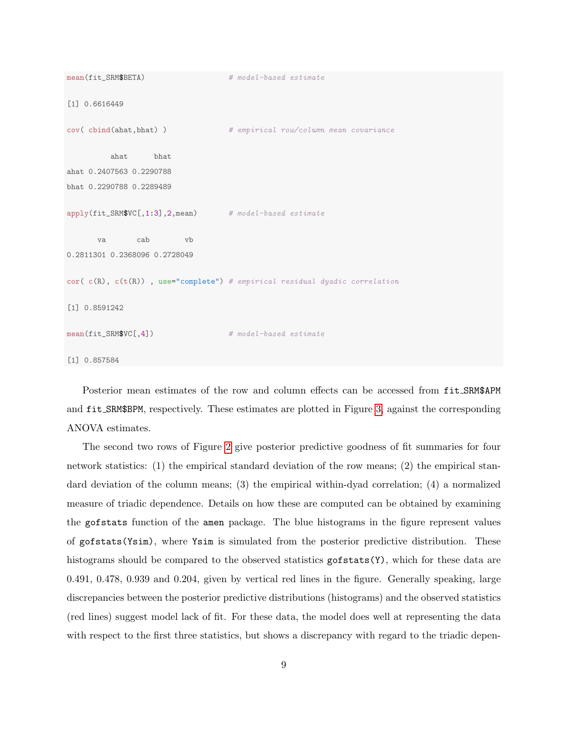```
mean(fit_SRM$BETA) # model-based estimate
[1] 0.6616449
cov(cbind(ahat,bhat)) # empirical row/column mean covariance
        ahat bhat
ahat 0.2407563 0.2290788
bhat 0.2290788 0.2289489
apply(fit_SRM$VC[,1:3],2,mean) # model-based estimate
      va cab vb
0.2811301 0.2368096 0.2728049
cor( c(R), c(t(R)), use="complete") # empirical residual dyadic correlation
[1] 0.8591242
mean(fit_SRM$VC[,4]) # model-based estimate
[1] 0.857584
```
Posterior mean estimates of the row and column effects can be accessed from  $fit\_SRM$APM$ and fit SRM\$BPM, respectively. These estimates are plotted in Figure [3,](#page-9-1) against the corresponding ANOVA estimates.

The second two rows of Figure [2](#page-7-0) give posterior predictive goodness of fit summaries for four network statistics: (1) the empirical standard deviation of the row means; (2) the empirical standard deviation of the column means; (3) the empirical within-dyad correlation; (4) a normalized measure of triadic dependence. Details on how these are computed can be obtained by examining the gofstats function of the amen package. The blue histograms in the figure represent values of gofstats(Ysim), where Ysim is simulated from the posterior predictive distribution. These histograms should be compared to the observed statistics gofstats(Y), which for these data are 0.491, 0.478, 0.939 and 0.204, given by vertical red lines in the figure. Generally speaking, large discrepancies between the posterior predictive distributions (histograms) and the observed statistics (red lines) suggest model lack of fit. For these data, the model does well at representing the data with respect to the first three statistics, but shows a discrepancy with regard to the triadic depen-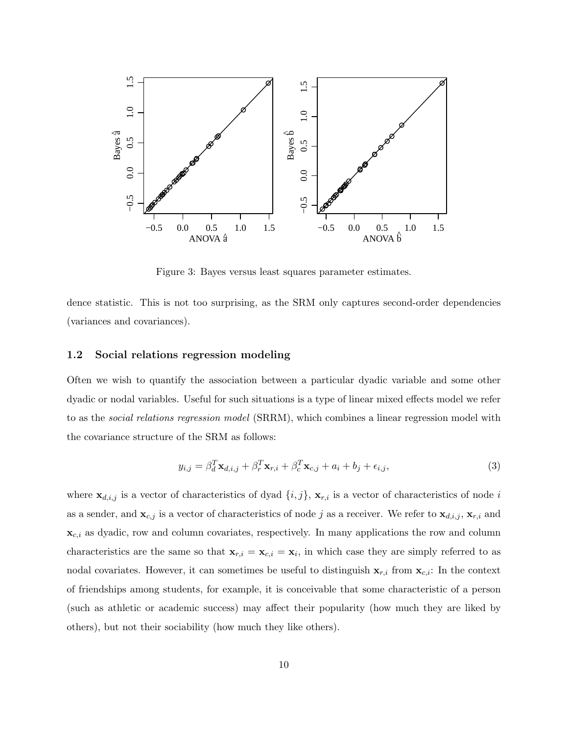

<span id="page-9-1"></span>Figure 3: Bayes versus least squares parameter estimates.

dence statistic. This is not too surprising, as the SRM only captures second-order dependencies (variances and covariances).

### <span id="page-9-0"></span>1.2 Social relations regression modeling

Often we wish to quantify the association between a particular dyadic variable and some other dyadic or nodal variables. Useful for such situations is a type of linear mixed effects model we refer to as the social relations regression model (SRRM), which combines a linear regression model with the covariance structure of the SRM as follows:

$$
y_{i,j} = \beta_d^T \mathbf{x}_{d,i,j} + \beta_r^T \mathbf{x}_{r,i} + \beta_c^T \mathbf{x}_{c,j} + a_i + b_j + \epsilon_{i,j},
$$
\n(3)

where  $\mathbf{x}_{d,i,j}$  is a vector of characteristics of dyad  $\{i,j\}$ ,  $\mathbf{x}_{r,i}$  is a vector of characteristics of node i as a sender, and  $\mathbf{x}_{c,j}$  is a vector of characteristics of node j as a receiver. We refer to  $\mathbf{x}_{d,i,j}$ ,  $\mathbf{x}_{r,i}$  and  $\mathbf{x}_{c,i}$  as dyadic, row and column covariates, respectively. In many applications the row and column characteristics are the same so that  $\mathbf{x}_{r,i} = \mathbf{x}_{c,i} = \mathbf{x}_i$ , in which case they are simply referred to as nodal covariates. However, it can sometimes be useful to distinguish  $\mathbf{x}_{r,i}$  from  $\mathbf{x}_{c,i}$ : In the context of friendships among students, for example, it is conceivable that some characteristic of a person (such as athletic or academic success) may affect their popularity (how much they are liked by others), but not their sociability (how much they like others).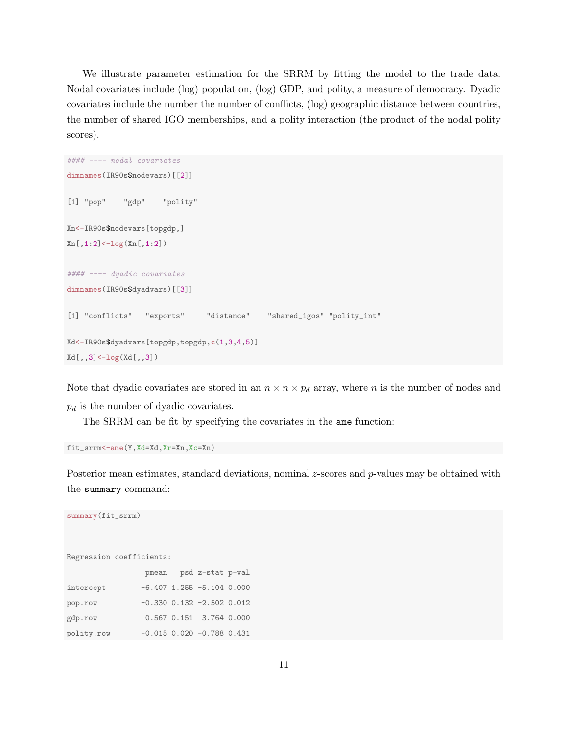We illustrate parameter estimation for the SRRM by fitting the model to the trade data. Nodal covariates include (log) population, (log) GDP, and polity, a measure of democracy. Dyadic covariates include the number the number of conflicts, (log) geographic distance between countries, the number of shared IGO memberships, and a polity interaction (the product of the nodal polity scores).

```
#### ---- nodal covariates
dimnames(IR90s$nodevars)[[2]]
[1] "pop" "gdp" "polity"
Xn<-IR90s$nodevars[topgdp,]
Xn[, 1:2]<-log(Xn[, 1:2])#### ---- dyadic covariates
dimnames(IR90s$dyadvars)[[3]]
[1] "conflicts" "exports" "distance" "shared_igos" "polity_int"
Xd<-IR90s$dyadvars[topgdp,topgdp,c(1,3,4,5)]
Xd[,,3]<-log(Xd[,,3])
```
Note that dyadic covariates are stored in an  $n \times n \times p_d$  array, where n is the number of nodes and  $p_d$  is the number of dyadic covariates.

The SRRM can be fit by specifying the covariates in the ame function:

fit\_srrm<-ame(Y,Xd=Xd,Xr=Xn,Xc=Xn)

Posterior mean estimates, standard deviations, nominal  $z$ -scores and  $p$ -values may be obtained with the summary command:

```
Regression coefficients:
                pmean psd z-stat p-val
intercept -6.407 1.255 -5.104 0.000
```
summary(fit\_srrm)

| pop.row    |  | $-0.330$ $0.132$ $-2.502$ $0.012$ |  |
|------------|--|-----------------------------------|--|
| gdp.row    |  | $0.567$ $0.151$ $3.764$ $0.000$   |  |
| polity.row |  | $-0.015$ 0.020 $-0.788$ 0.431     |  |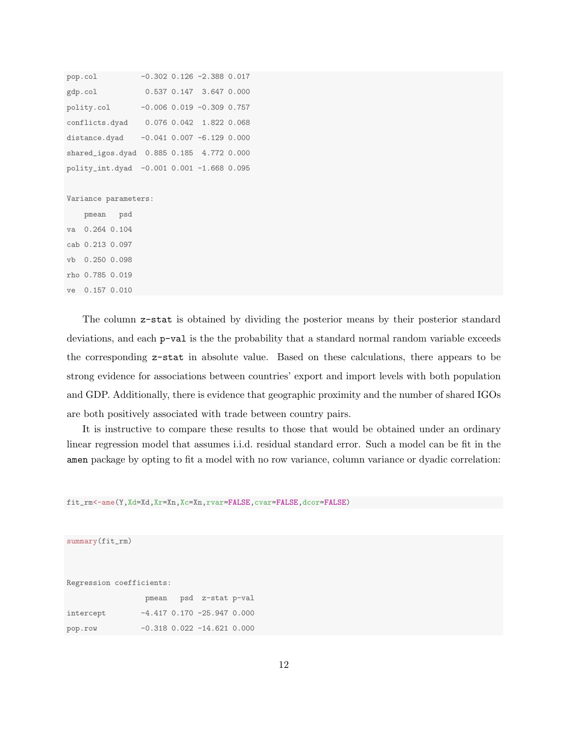```
pop.col -0.302 0.126 -2.388 0.017
gdp.col 0.537 0.147 3.647 0.000
polity.col -0.006 0.019 -0.309 0.757
conflicts.dyad 0.076 0.042 1.822 0.068
distance.dyad -0.041 0.007 -6.129 0.000
shared_igos.dyad 0.885 0.185 4.772 0.000
polity_int.dyad -0.001 0.001 -1.668 0.095
Variance parameters:
```
pmean psd va 0.264 0.104 cab 0.213 0.097 vb 0.250 0.098 rho 0.785 0.019 ve 0.157 0.010

The column z-stat is obtained by dividing the posterior means by their posterior standard deviations, and each p-val is the the probability that a standard normal random variable exceeds the corresponding z-stat in absolute value. Based on these calculations, there appears to be strong evidence for associations between countries' export and import levels with both population and GDP. Additionally, there is evidence that geographic proximity and the number of shared IGOs are both positively associated with trade between country pairs.

It is instructive to compare these results to those that would be obtained under an ordinary linear regression model that assumes i.i.d. residual standard error. Such a model can be fit in the amen package by opting to fit a model with no row variance, column variance or dyadic correlation:

fit\_rm<-ame(Y,Xd=Xd,Xr=Xn,Xc=Xn,rvar=FALSE,cvar=FALSE,dcor=FALSE)

summary(fit\_rm)

Regression coefficients:

|           | pmean | psd z-stat p-val                   |  |
|-----------|-------|------------------------------------|--|
| intercept |       | $-4.417$ 0.170 $-25.947$ 0.000     |  |
| pop.row   |       | $-0.318$ $0.022$ $-14.621$ $0.000$ |  |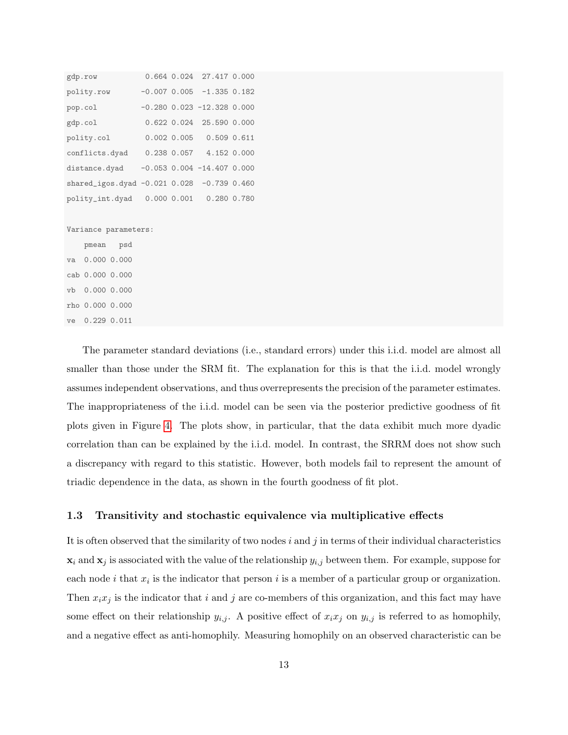| gdp.row                                     |  | 0.664 0.024 27.417 0.000       |  |
|---------------------------------------------|--|--------------------------------|--|
| polity.row                                  |  | $-0.007$ 0.005 $-1.335$ 0.182  |  |
| pop.col                                     |  | $-0.280$ 0.023 $-12.328$ 0.000 |  |
| gdp.col                                     |  | 0.622 0.024 25.590 0.000       |  |
| polity.col                                  |  | $0.002$ $0.005$ 0.509 0.611    |  |
| conflicts.dyad                              |  | $0.238$ $0.057$ 4.152 0.000    |  |
| distance.dyad                               |  | $-0.053$ 0.004 $-14.407$ 0.000 |  |
| shared_igos.dyad -0.021 0.028 -0.739 0.460  |  |                                |  |
| polity_int.dyad  0.000  0.001  0.280  0.780 |  |                                |  |
|                                             |  |                                |  |
|                                             |  |                                |  |

Variance parameters:

pmean psd va 0.000 0.000 cab 0.000 0.000 vb 0.000 0.000 rho 0.000 0.000 ve 0.229 0.011

The parameter standard deviations (i.e., standard errors) under this i.i.d. model are almost all smaller than those under the SRM fit. The explanation for this is that the i.i.d. model wrongly assumes independent observations, and thus overrepresents the precision of the parameter estimates. The inappropriateness of the i.i.d. model can be seen via the posterior predictive goodness of fit plots given in Figure [4.](#page-13-0) The plots show, in particular, that the data exhibit much more dyadic correlation than can be explained by the i.i.d. model. In contrast, the SRRM does not show such a discrepancy with regard to this statistic. However, both models fail to represent the amount of triadic dependence in the data, as shown in the fourth goodness of fit plot.

### <span id="page-12-0"></span>1.3 Transitivity and stochastic equivalence via multiplicative effects

It is often observed that the similarity of two nodes i and j in terms of their individual characteristics  $\mathbf{x}_i$  and  $\mathbf{x}_j$  is associated with the value of the relationship  $y_{i,j}$  between them. For example, suppose for each node i that  $x_i$  is the indicator that person i is a member of a particular group or organization. Then  $x_i x_j$  is the indicator that i and j are co-members of this organization, and this fact may have some effect on their relationship  $y_{i,j}$ . A positive effect of  $x_ix_j$  on  $y_{i,j}$  is referred to as homophily, and a negative effect as anti-homophily. Measuring homophily on an observed characteristic can be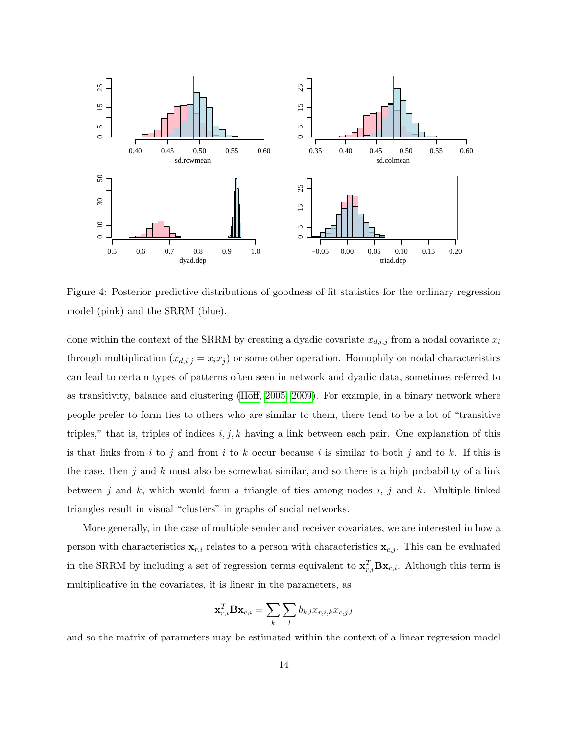

<span id="page-13-0"></span>Figure 4: Posterior predictive distributions of goodness of fit statistics for the ordinary regression model (pink) and the SRRM (blue).

done within the context of the SRRM by creating a dyadic covariate  $x_{d,i,j}$  from a nodal covariate  $x_i$ through multiplication  $(x_{d,i,j} = x_i x_j)$  or some other operation. Homophily on nodal characteristics can lead to certain types of patterns often seen in network and dyadic data, sometimes referred to as transitivity, balance and clustering [\(Hoff, 2005,](#page-47-3) [2009\)](#page-47-4). For example, in a binary network where people prefer to form ties to others who are similar to them, there tend to be a lot of "transitive triples," that is, triples of indices  $i, j, k$  having a link between each pair. One explanation of this is that links from i to j and from i to k occur because i is similar to both j and to k. If this is the case, then j and k must also be somewhat similar, and so there is a high probability of a link between j and  $k$ , which would form a triangle of ties among nodes  $i$ , j and  $k$ . Multiple linked triangles result in visual "clusters" in graphs of social networks.

More generally, in the case of multiple sender and receiver covariates, we are interested in how a person with characteristics  $\mathbf{x}_{r,i}$  relates to a person with characteristics  $\mathbf{x}_{c,j}$ . This can be evaluated in the SRRM by including a set of regression terms equivalent to  $\mathbf{x}_{r,i}^T \mathbf{B} \mathbf{x}_{c,i}$ . Although this term is multiplicative in the covariates, it is linear in the parameters, as

$$
\mathbf{x}_{r,i}^T \mathbf{B} \mathbf{x}_{c,i} = \sum_k \sum_l b_{k,l} x_{r,i,k} x_{c,j,l}
$$

and so the matrix of parameters may be estimated within the context of a linear regression model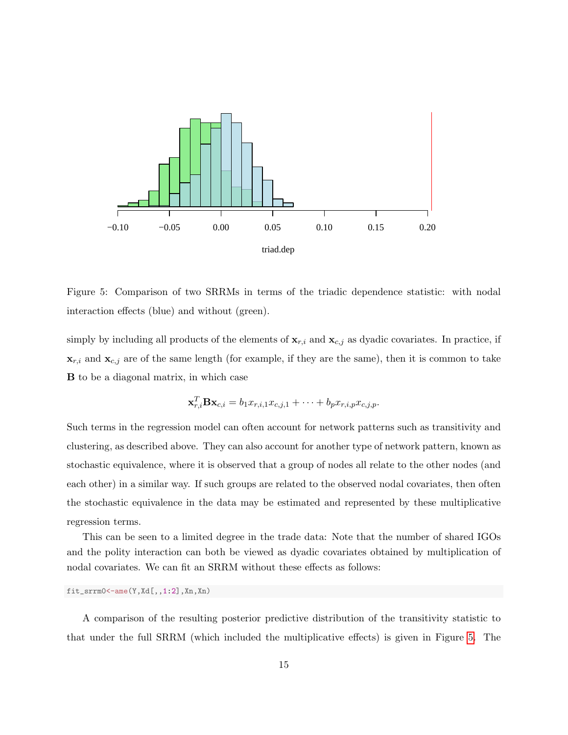

<span id="page-14-0"></span>Figure 5: Comparison of two SRRMs in terms of the triadic dependence statistic: with nodal interaction effects (blue) and without (green).

simply by including all products of the elements of  $\mathbf{x}_{r,i}$  and  $\mathbf{x}_{c,j}$  as dyadic covariates. In practice, if  $\mathbf{x}_{r,i}$  and  $\mathbf{x}_{c,j}$  are of the same length (for example, if they are the same), then it is common to take B to be a diagonal matrix, in which case

$$
\mathbf{x}_{r,i}^T \mathbf{B} \mathbf{x}_{c,i} = b_1 x_{r,i,1} x_{c,j,1} + \cdots + b_p x_{r,i,p} x_{c,j,p}.
$$

Such terms in the regression model can often account for network patterns such as transitivity and clustering, as described above. They can also account for another type of network pattern, known as stochastic equivalence, where it is observed that a group of nodes all relate to the other nodes (and each other) in a similar way. If such groups are related to the observed nodal covariates, then often the stochastic equivalence in the data may be estimated and represented by these multiplicative regression terms.

This can be seen to a limited degree in the trade data: Note that the number of shared IGOs and the polity interaction can both be viewed as dyadic covariates obtained by multiplication of nodal covariates. We can fit an SRRM without these effects as follows:

fit\_srrm0<-ame(Y,Xd[,,1:2],Xn,Xn)

A comparison of the resulting posterior predictive distribution of the transitivity statistic to that under the full SRRM (which included the multiplicative effects) is given in Figure [5.](#page-14-0) The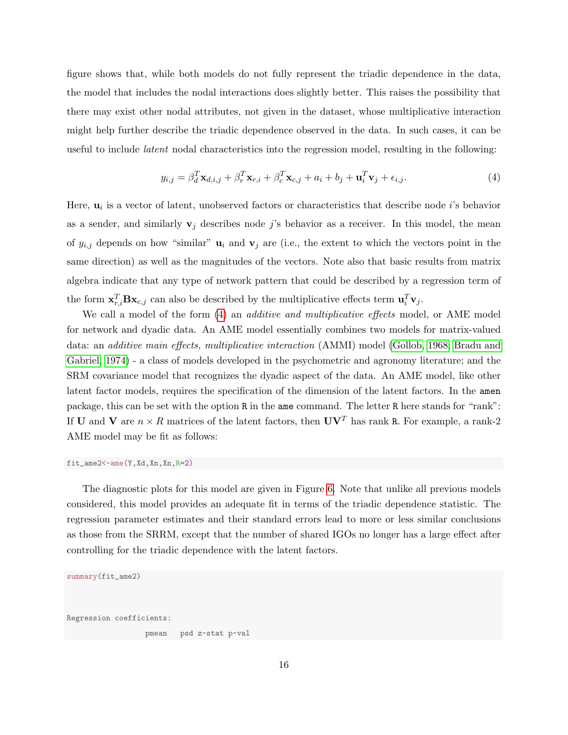figure shows that, while both models do not fully represent the triadic dependence in the data, the model that includes the nodal interactions does slightly better. This raises the possibility that there may exist other nodal attributes, not given in the dataset, whose multiplicative interaction might help further describe the triadic dependence observed in the data. In such cases, it can be useful to include latent nodal characteristics into the regression model, resulting in the following:

<span id="page-15-0"></span>
$$
y_{i,j} = \beta_d^T \mathbf{x}_{d,i,j} + \beta_r^T \mathbf{x}_{r,i} + \beta_c^T \mathbf{x}_{c,j} + a_i + b_j + \mathbf{u}_i^T \mathbf{v}_j + \epsilon_{i,j}.
$$

$$
\tag{4}
$$

Here,  $\mathbf{u}_i$  is a vector of latent, unobserved factors or characteristics that describe node *i*'s behavior as a sender, and similarly  $v_j$  describes node j's behavior as a receiver. In this model, the mean of  $y_{i,j}$  depends on how "similar"  $\mathbf{u}_i$  and  $\mathbf{v}_j$  are (i.e., the extent to which the vectors point in the same direction) as well as the magnitudes of the vectors. Note also that basic results from matrix algebra indicate that any type of network pattern that could be described by a regression term of the form  $\mathbf{x}_{r,i}^T \mathbf{B} \mathbf{x}_{c,j}$  can also be described by the multiplicative effects term  $\mathbf{u}_i^T \mathbf{v}_j$ .

We call a model of the form [\(4\)](#page-15-0) an *additive and multiplicative effects* model, or AME model for network and dyadic data. An AME model essentially combines two models for matrix-valued data: an additive main effects, multiplicative interaction (AMMI) model [\(Gollob, 1968;](#page-45-0) [Bradu and](#page-45-1) [Gabriel, 1974\)](#page-45-1) - a class of models developed in the psychometric and agronomy literature; and the SRM covariance model that recognizes the dyadic aspect of the data. An AME model, like other latent factor models, requires the specification of the dimension of the latent factors. In the amen package, this can be set with the option R in the ame command. The letter R here stands for "rank": If **U** and **V** are  $n \times R$  matrices of the latent factors, then  $UV<sup>T</sup>$  has rank R. For example, a rank-2 AME model may be fit as follows:

fit\_ame2<-ame(Y,Xd,Xn,Xn,R=2)

The diagnostic plots for this model are given in Figure [6.](#page-16-0) Note that unlike all previous models considered, this model provides an adequate fit in terms of the triadic dependence statistic. The regression parameter estimates and their standard errors lead to more or less similar conclusions as those from the SRRM, except that the number of shared IGOs no longer has a large effect after controlling for the triadic dependence with the latent factors.

```
summary(fit_ame2)
```
Regression coefficients:

pmean psd z-stat p-val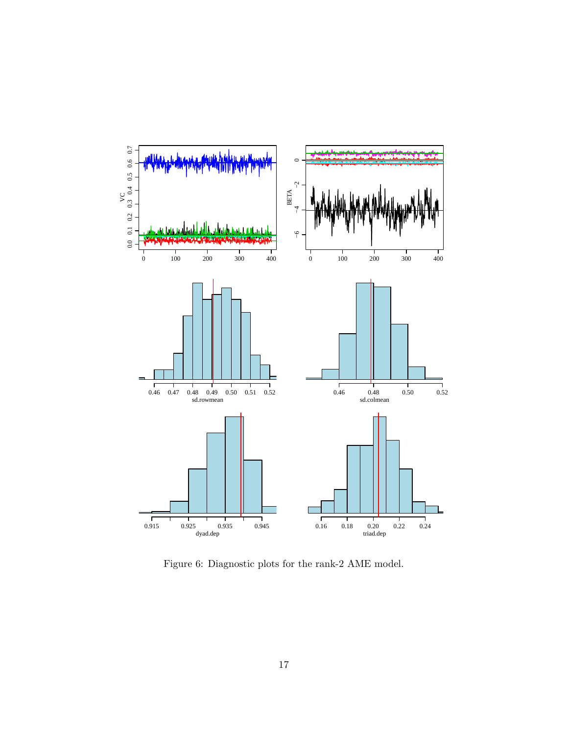

<span id="page-16-0"></span>Figure 6: Diagnostic plots for the rank-2 AME model.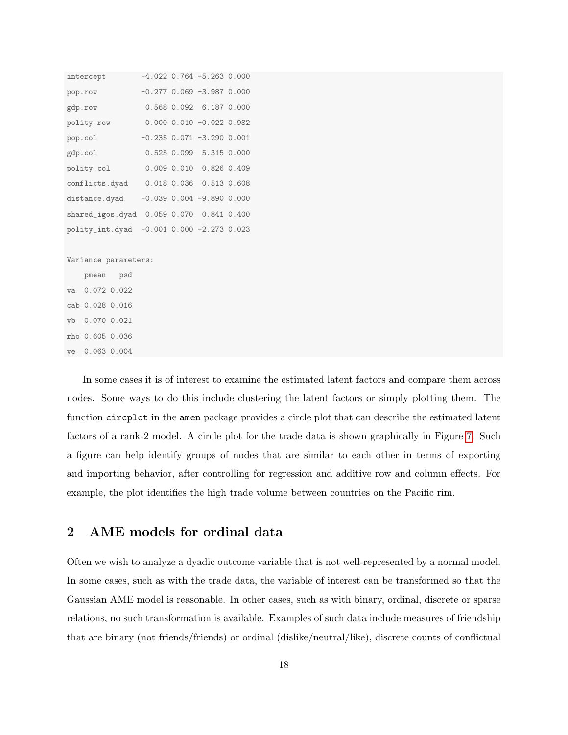| intercept                                    |  | $-4.022$ 0.764 $-5.263$ 0.000     |  |
|----------------------------------------------|--|-----------------------------------|--|
| pop.row                                      |  | $-0.277$ 0.069 $-3.987$ 0.000     |  |
| gdp.row                                      |  | 0.568 0.092 6.187 0.000           |  |
| polity.row                                   |  | $0.000$ $0.010$ $-0.022$ $0.982$  |  |
| pop.col                                      |  | $-0.235$ $0.071$ $-3.290$ $0.001$ |  |
| gdp.col                                      |  | 0.525 0.099 5.315 0.000           |  |
| polity.col                                   |  | 0.009 0.010 0.826 0.409           |  |
| conflicts.dyad  0.018  0.036  0.513  0.608   |  |                                   |  |
| distance.dyad -0.039 0.004 -9.890 0.000      |  |                                   |  |
| shared_igos.dyad  0.059  0.070  0.841  0.400 |  |                                   |  |
| polity_int.dyad -0.001 0.000 -2.273 0.023    |  |                                   |  |
|                                              |  |                                   |  |
| Variance parameters:                         |  |                                   |  |
| pmean psd                                    |  |                                   |  |
| va 0.072 0.022                               |  |                                   |  |
| cab 0.028 0.016                              |  |                                   |  |
| vb 0.070 0.021                               |  |                                   |  |
| rho 0.605 0.036                              |  |                                   |  |

ve 0.063 0.004

In some cases it is of interest to examine the estimated latent factors and compare them across nodes. Some ways to do this include clustering the latent factors or simply plotting them. The function circplot in the amen package provides a circle plot that can describe the estimated latent factors of a rank-2 model. A circle plot for the trade data is shown graphically in Figure [7.](#page-18-0) Such a figure can help identify groups of nodes that are similar to each other in terms of exporting and importing behavior, after controlling for regression and additive row and column effects. For example, the plot identifies the high trade volume between countries on the Pacific rim.

## <span id="page-17-0"></span>2 AME models for ordinal data

Often we wish to analyze a dyadic outcome variable that is not well-represented by a normal model. In some cases, such as with the trade data, the variable of interest can be transformed so that the Gaussian AME model is reasonable. In other cases, such as with binary, ordinal, discrete or sparse relations, no such transformation is available. Examples of such data include measures of friendship that are binary (not friends/friends) or ordinal (dislike/neutral/like), discrete counts of conflictual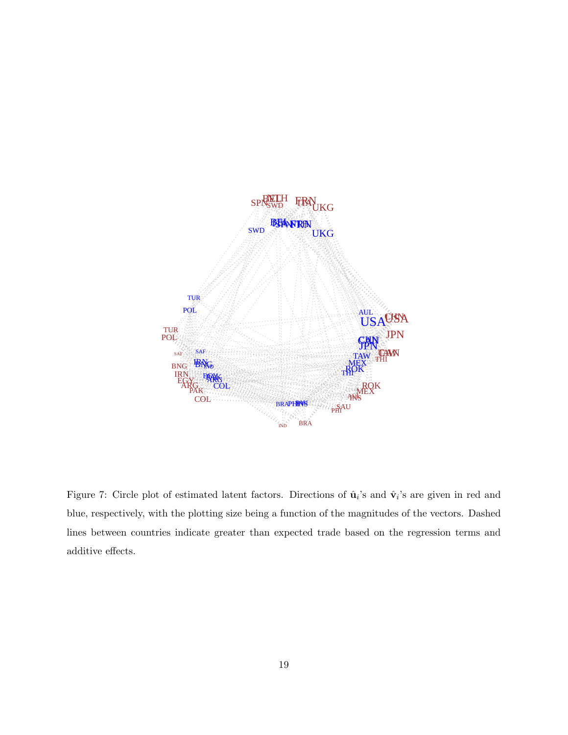

<span id="page-18-0"></span>Figure 7: Circle plot of estimated latent factors. Directions of  $\hat{\mathbf{u}}_i$ 's and  $\hat{\mathbf{v}}_i$ 's are given in red and blue, respectively, with the plotting size being a function of the magnitudes of the vectors. Dashed lines between countries indicate greater than expected trade based on the regression terms and additive effects.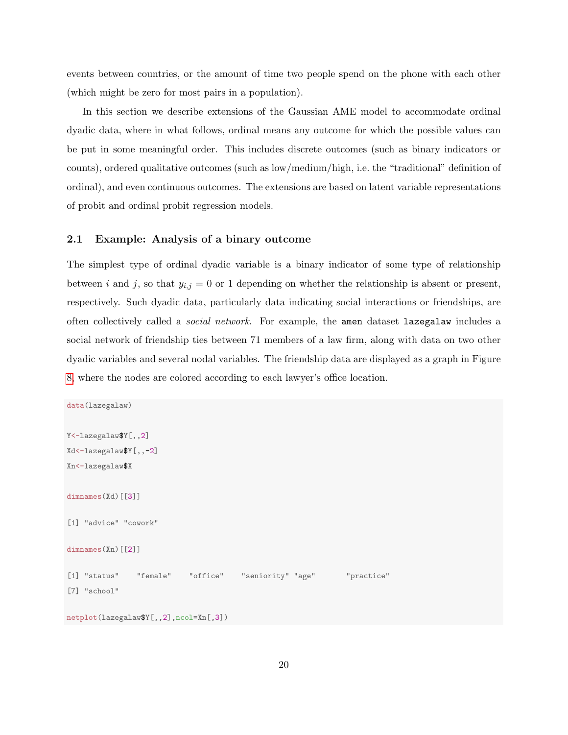events between countries, or the amount of time two people spend on the phone with each other (which might be zero for most pairs in a population).

In this section we describe extensions of the Gaussian AME model to accommodate ordinal dyadic data, where in what follows, ordinal means any outcome for which the possible values can be put in some meaningful order. This includes discrete outcomes (such as binary indicators or counts), ordered qualitative outcomes (such as low/medium/high, i.e. the "traditional" definition of ordinal), and even continuous outcomes. The extensions are based on latent variable representations of probit and ordinal probit regression models.

### <span id="page-19-0"></span>2.1 Example: Analysis of a binary outcome

The simplest type of ordinal dyadic variable is a binary indicator of some type of relationship between i and j, so that  $y_{i,j} = 0$  or 1 depending on whether the relationship is absent or present, respectively. Such dyadic data, particularly data indicating social interactions or friendships, are often collectively called a social network. For example, the amen dataset lazegalaw includes a social network of friendship ties between 71 members of a law firm, along with data on two other dyadic variables and several nodal variables. The friendship data are displayed as a graph in Figure [8,](#page-20-0) where the nodes are colored according to each lawyer's office location.

```
data(lazegalaw)
Y<-lazegalaw$Y[,,2]
Xd<-lazegalaw$Y[,,-2]
Xn<-lazegalaw$X
dimnames(Xd)[[3]]
[1] "advice" "cowork"
dimnames(Xn)[[2]]
[1] "status" "female" "office" "seniority" "age" "practice"
[7] "school"
netplot(lazegalaw$Y[,,2],ncol=Xn[,3])
```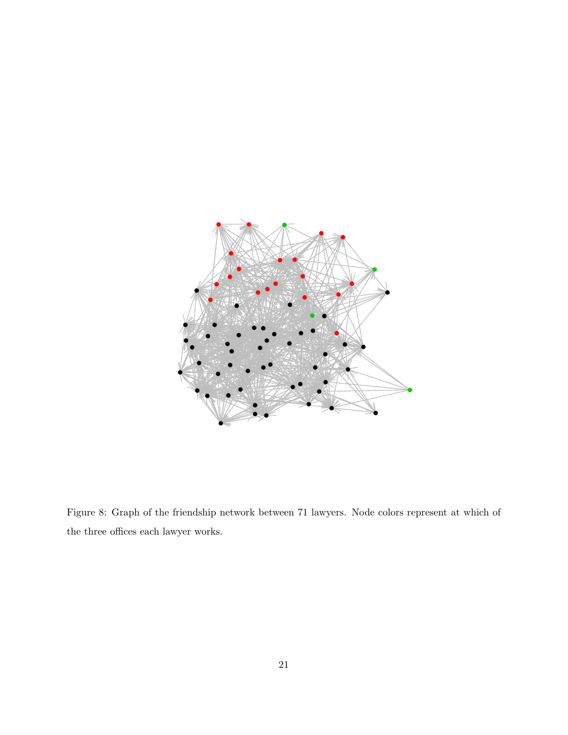

<span id="page-20-0"></span>Figure 8: Graph of the friendship network between 71 lawyers. Node colors represent at which of the three offices each lawyer works.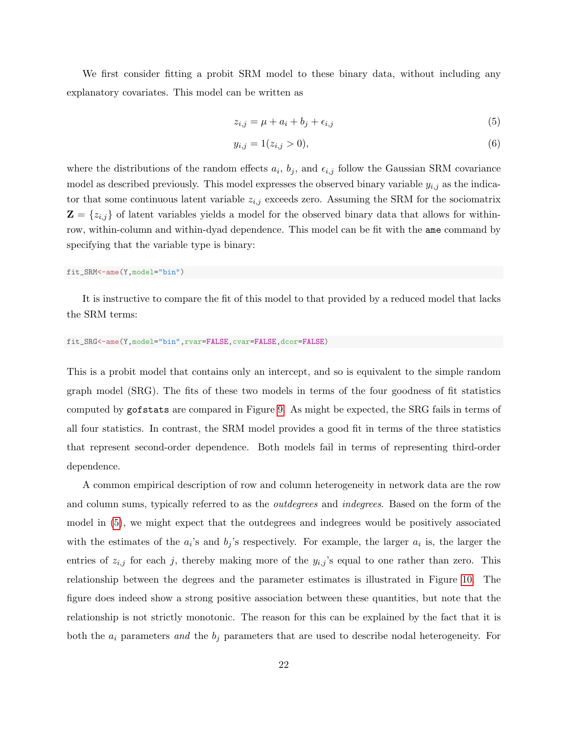We first consider fitting a probit SRM model to these binary data, without including any explanatory covariates. This model can be written as

<span id="page-21-0"></span>
$$
z_{i,j} = \mu + a_i + b_j + \epsilon_{i,j} \tag{5}
$$

$$
y_{i,j} = 1(z_{i,j} > 0),\tag{6}
$$

where the distributions of the random effects  $a_i$ ,  $b_j$ , and  $\epsilon_{i,j}$  follow the Gaussian SRM covariance model as described previously. This model expresses the observed binary variable  $y_{i,j}$  as the indicator that some continuous latent variable  $z_{i,j}$  exceeds zero. Assuming the SRM for the sociomatrix  $\mathbf{Z} = \{z_{i,j}\}\$  of latent variables yields a model for the observed binary data that allows for withinrow, within-column and within-dyad dependence. This model can be fit with the ame command by specifying that the variable type is binary:

#### fit\_SRM<-ame(Y,model="bin")

It is instructive to compare the fit of this model to that provided by a reduced model that lacks the SRM terms:

#### fit\_SRG<-ame(Y,model="bin",rvar=FALSE,cvar=FALSE,dcor=FALSE)

This is a probit model that contains only an intercept, and so is equivalent to the simple random graph model (SRG). The fits of these two models in terms of the four goodness of fit statistics computed by gofstats are compared in Figure [9.](#page-22-0) As might be expected, the SRG fails in terms of all four statistics. In contrast, the SRM model provides a good fit in terms of the three statistics that represent second-order dependence. Both models fail in terms of representing third-order dependence.

A common empirical description of row and column heterogeneity in network data are the row and column sums, typically referred to as the *outdegrees* and *indegrees*. Based on the form of the model in [\(5\)](#page-21-0), we might expect that the outdegrees and indegrees would be positively associated with the estimates of the  $a_i$ 's and  $b_j$ 's respectively. For example, the larger  $a_i$  is, the larger the entries of  $z_{i,j}$  for each j, thereby making more of the  $y_{i,j}$ 's equal to one rather than zero. This relationship between the degrees and the parameter estimates is illustrated in Figure [10.](#page-23-0) The figure does indeed show a strong positive association between these quantities, but note that the relationship is not strictly monotonic. The reason for this can be explained by the fact that it is both the  $a_i$  parameters and the  $b_j$  parameters that are used to describe nodal heterogeneity. For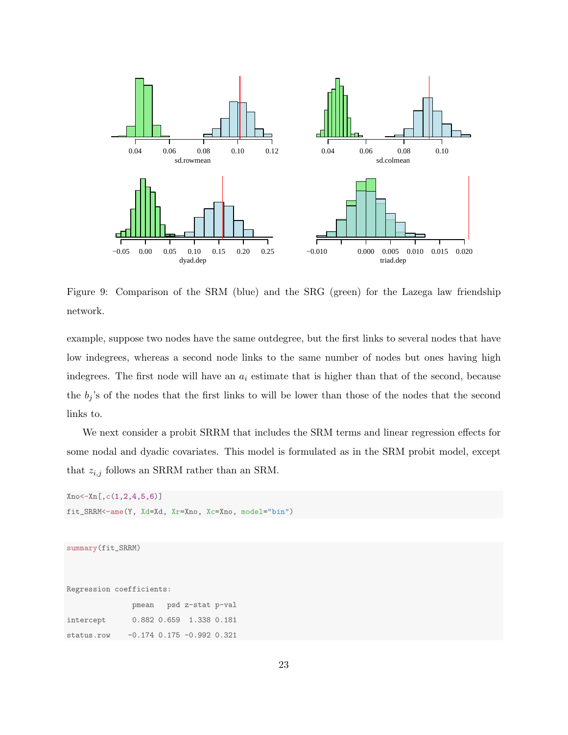

<span id="page-22-0"></span>Figure 9: Comparison of the SRM (blue) and the SRG (green) for the Lazega law friendship network.

example, suppose two nodes have the same outdegree, but the first links to several nodes that have low indegrees, whereas a second node links to the same number of nodes but ones having high indegrees. The first node will have an  $a_i$  estimate that is higher than that of the second, because the  $b_j$ 's of the nodes that the first links to will be lower than those of the nodes that the second links to.

We next consider a probit SRRM that includes the SRM terms and linear regression effects for some nodal and dyadic covariates. This model is formulated as in the SRM probit model, except that  $z_{i,j}$  follows an SRRM rather than an SRM.

```
Xno<-Xn[,c(1,2,4,5,6)]
fit_SRRM<-ame(Y, Xd=Xd, Xr=Xno, Xc=Xno, model="bin")
```

```
summary(fit_SRRM)
```
Regression coefficients:

pmean psd z-stat p-val intercept 0.882 0.659 1.338 0.181 status.row -0.174 0.175 -0.992 0.321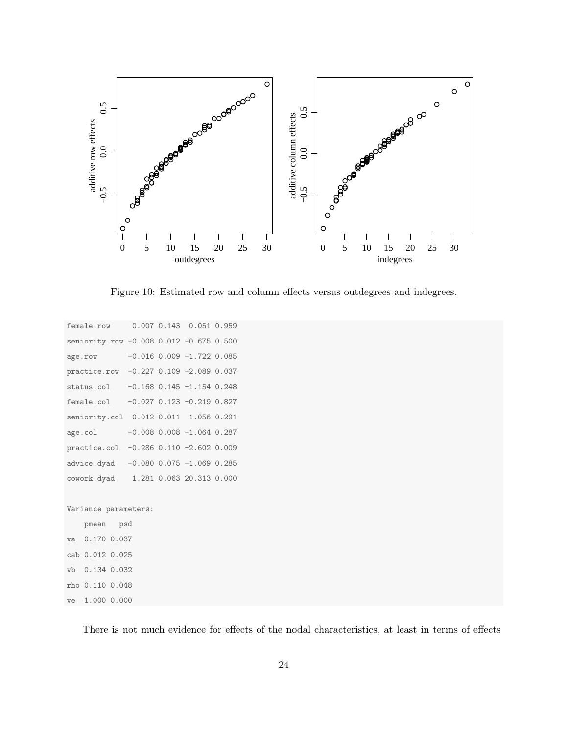

<span id="page-23-0"></span>Figure 10: Estimated row and column effects versus outdegrees and indegrees.

```
female.row 0.007 0.143 0.051 0.959
seniority.row -0.008 0.012 -0.675 0.500
age.row -0.016 0.009 -1.722 0.085
practice.row -0.227 0.109 -2.089 0.037
status.col -0.168 0.145 -1.154 0.248
female.col -0.027 0.123 -0.219 0.827
seniority.col 0.012 0.011 1.056 0.291
age.col -0.008 0.008 -1.064 0.287
practice.col -0.286 0.110 -2.602 0.009
advice.dyad -0.080 0.075 -1.069 0.285
cowork.dyad 1.281 0.063 20.313 0.000
Variance parameters:
   pmean psd
va 0.170 0.037
cab 0.012 0.025
vb 0.134 0.032
rho 0.110 0.048
ve 1.000 0.000
```
There is not much evidence for effects of the nodal characteristics, at least in terms of effects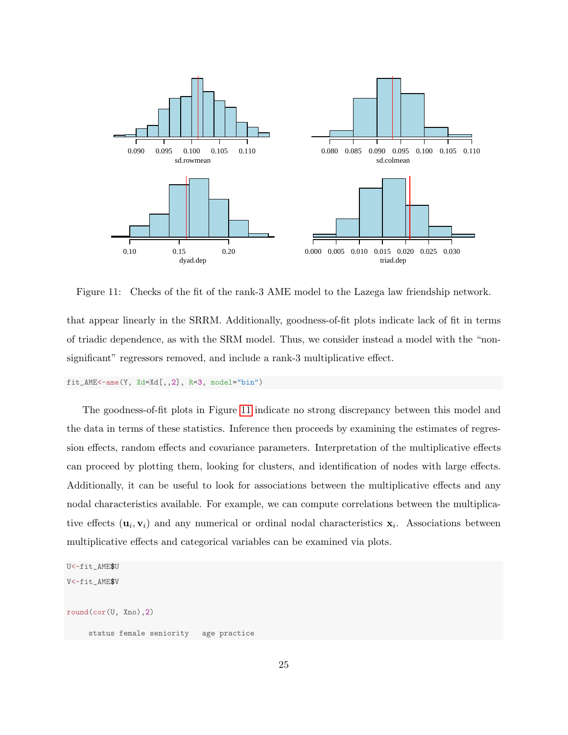

<span id="page-24-0"></span>Figure 11: Checks of the fit of the rank-3 AME model to the Lazega law friendship network.

that appear linearly in the SRRM. Additionally, goodness-of-fit plots indicate lack of fit in terms of triadic dependence, as with the SRM model. Thus, we consider instead a model with the "nonsignificant" regressors removed, and include a rank-3 multiplicative effect.

fit\_AME<-ame(Y, Xd=Xd[,,2], R=3, model="bin")

The goodness-of-fit plots in Figure [11](#page-24-0) indicate no strong discrepancy between this model and the data in terms of these statistics. Inference then proceeds by examining the estimates of regression effects, random effects and covariance parameters. Interpretation of the multiplicative effects can proceed by plotting them, looking for clusters, and identification of nodes with large effects. Additionally, it can be useful to look for associations between the multiplicative effects and any nodal characteristics available. For example, we can compute correlations between the multiplicative effects  $(\mathbf{u}_i, \mathbf{v}_i)$  and any numerical or ordinal nodal characteristics  $\mathbf{x}_i$ . Associations between multiplicative effects and categorical variables can be examined via plots.

```
U<-fit_AME$U
V<-fit_AME$V
round(cor(U, Xno),2)
     status female seniority age practice
```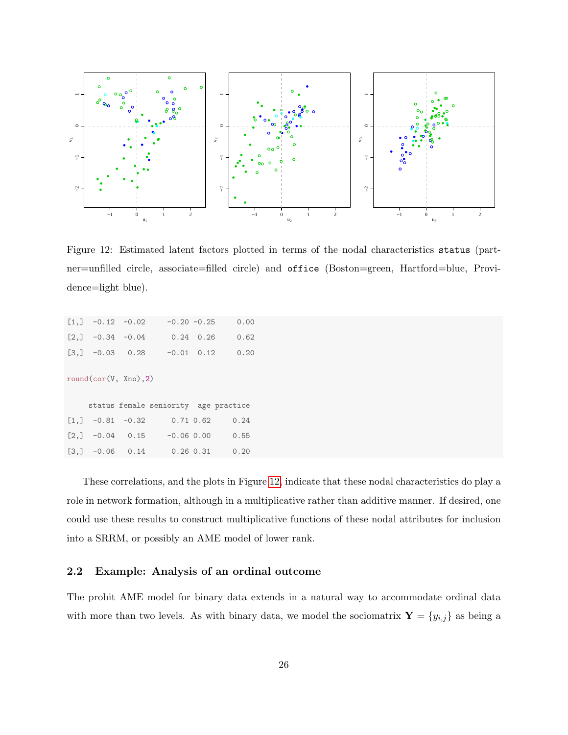

<span id="page-25-1"></span>Figure 12: Estimated latent factors plotted in terms of the nodal characteristics status (partner=unfilled circle, associate=filled circle) and office (Boston=green, Hartford=blue, Providence=light blue).

|                                                   | $[1,]$ -0.12 -0.02 | $-0.20 -0.25$                        |                   | 0.00 |
|---------------------------------------------------|--------------------|--------------------------------------|-------------------|------|
| $[2,]$ -0.34 -0.04                                |                    |                                      | $0.24 \quad 0.26$ | 0.62 |
| $[3,] -0.03$ 0.28                                 |                    | $-0.01$ 0.12                         |                   | 0.20 |
| round(cor(V, Xno), 2)                             |                    |                                      |                   |      |
|                                                   |                    | status female seniority age practice |                   |      |
| $\begin{bmatrix} 1, \\ \end{bmatrix}$ -0.81 -0.32 |                    |                                      | $0.71$ $0.62$     | 0.24 |
|                                                   |                    | $[2,]$ -0.04 0.15 -0.06 0.00         |                   | 0.55 |
| $[3,]$ -0.06 0.14                                 |                    | $0.26\;0.31$                         |                   | 0.20 |

These correlations, and the plots in Figure [12,](#page-25-1) indicate that these nodal characteristics do play a role in network formation, although in a multiplicative rather than additive manner. If desired, one could use these results to construct multiplicative functions of these nodal attributes for inclusion into a SRRM, or possibly an AME model of lower rank.

### <span id="page-25-0"></span>2.2 Example: Analysis of an ordinal outcome

The probit AME model for binary data extends in a natural way to accommodate ordinal data with more than two levels. As with binary data, we model the sociomatrix  $\mathbf{Y} = \{y_{i,j}\}$  as being a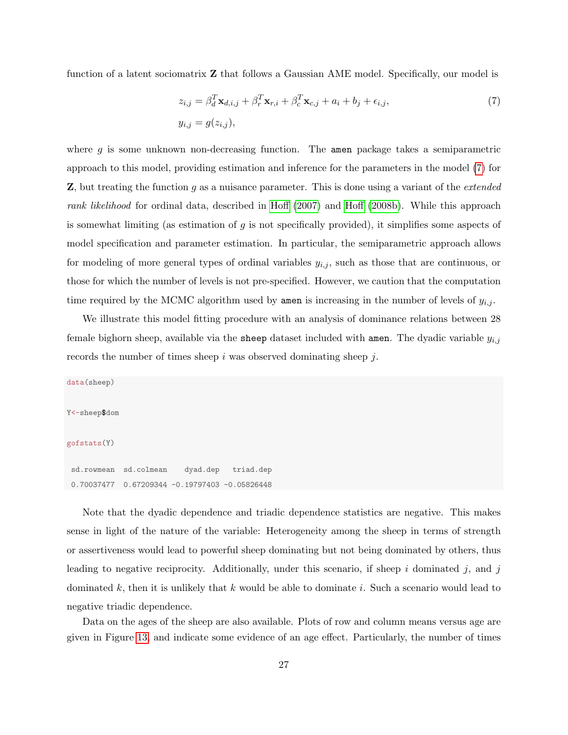function of a latent sociomatrix Z that follows a Gaussian AME model. Specifically, our model is

<span id="page-26-0"></span>
$$
z_{i,j} = \beta_d^T \mathbf{x}_{d,i,j} + \beta_r^T \mathbf{x}_{r,i} + \beta_c^T \mathbf{x}_{c,j} + a_i + b_j + \epsilon_{i,j},
$$
  
\n
$$
y_{i,j} = g(z_{i,j}),
$$
\n(7)

where  $g$  is some unknown non-decreasing function. The amen package takes a semiparametric approach to this model, providing estimation and inference for the parameters in the model [\(7\)](#page-26-0) for **Z**, but treating the function q as a nuisance parameter. This is done using a variant of the *extended* rank likelihood for ordinal data, described in [Hoff](#page-47-5) [\(2007\)](#page-47-5) and [Hoff](#page-47-6) [\(2008b\)](#page-47-6). While this approach is somewhat limiting (as estimation of  $g$  is not specifically provided), it simplifies some aspects of model specification and parameter estimation. In particular, the semiparametric approach allows for modeling of more general types of ordinal variables  $y_{i,j}$ , such as those that are continuous, or those for which the number of levels is not pre-specified. However, we caution that the computation time required by the MCMC algorithm used by amen is increasing in the number of levels of  $y_{i,j}$ .

We illustrate this model fitting procedure with an analysis of dominance relations between 28 female bighorn sheep, available via the sheep dataset included with amen. The dyadic variable  $y_{i,j}$ records the number of times sheep i was observed dominating sheep  $j$ .

data(sheep) Y<-sheep\$dom gofstats(Y) sd.rowmean sd.colmean dyad.dep triad.dep 0.70037477 0.67209344 -0.19797403 -0.05826448

Note that the dyadic dependence and triadic dependence statistics are negative. This makes sense in light of the nature of the variable: Heterogeneity among the sheep in terms of strength or assertiveness would lead to powerful sheep dominating but not being dominated by others, thus leading to negative reciprocity. Additionally, under this scenario, if sheep  $i$  dominated  $j$ , and  $j$ dominated k, then it is unlikely that k would be able to dominate i. Such a scenario would lead to negative triadic dependence.

Data on the ages of the sheep are also available. Plots of row and column means versus age are given in Figure [13,](#page-27-0) and indicate some evidence of an age effect. Particularly, the number of times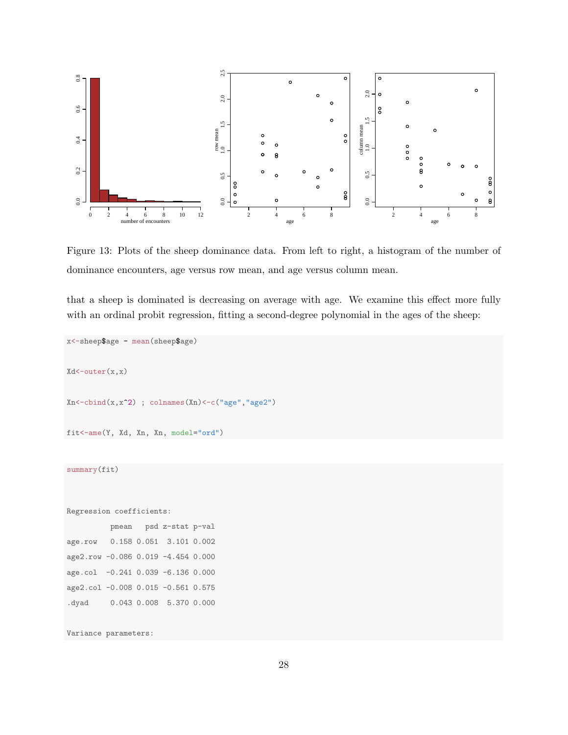

<span id="page-27-0"></span>Figure 13: Plots of the sheep dominance data. From left to right, a histogram of the number of dominance encounters, age versus row mean, and age versus column mean.

that a sheep is dominated is decreasing on average with age. We examine this effect more fully with an ordinal probit regression, fitting a second-degree polynomial in the ages of the sheep:

```
x<-sheep$age - mean(sheep$age)
Xd<-outer(x,x)
Xn < -cbind(x, x^2) ; colnames(Xn) <-c("age", "age2")
fit<-ame(Y, Xd, Xn, Xn, model="ord")
summary(fit)
Regression coefficients:
          pmean psd z-stat p-val
age.row 0.158 0.051 3.101 0.002
age2.row -0.086 0.019 -4.454 0.000
age.col -0.241 0.039 -6.136 0.000
age2.col -0.008 0.015 -0.561 0.575
.dyad 0.043 0.008 5.370 0.000
Variance parameters:
```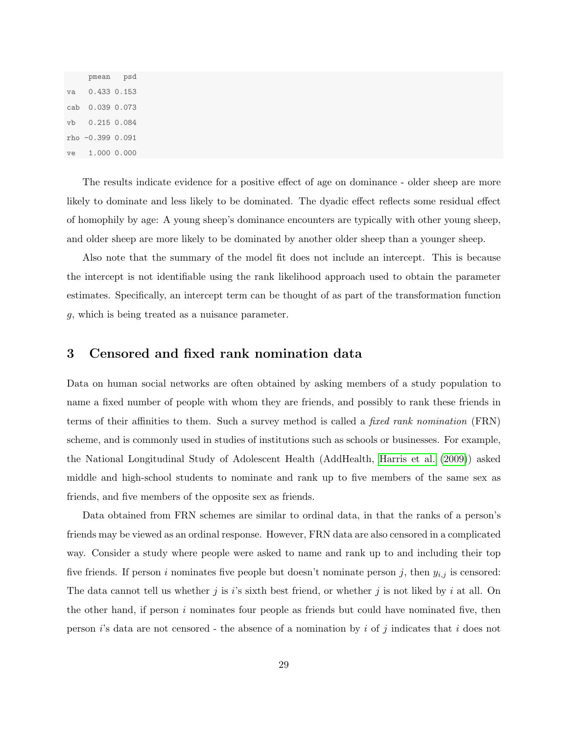pmean psd va 0.433 0.153 cab 0.039 0.073 vb 0.215 0.084 rho -0.399 0.091 ve 1.000 0.000

The results indicate evidence for a positive effect of age on dominance - older sheep are more likely to dominate and less likely to be dominated. The dyadic effect reflects some residual effect of homophily by age: A young sheep's dominance encounters are typically with other young sheep, and older sheep are more likely to be dominated by another older sheep than a younger sheep.

Also note that the summary of the model fit does not include an intercept. This is because the intercept is not identifiable using the rank likelihood approach used to obtain the parameter estimates. Specifically, an intercept term can be thought of as part of the transformation function g, which is being treated as a nuisance parameter.

### <span id="page-28-0"></span>3 Censored and fixed rank nomination data

Data on human social networks are often obtained by asking members of a study population to name a fixed number of people with whom they are friends, and possibly to rank these friends in terms of their affinities to them. Such a survey method is called a fixed rank nomination (FRN) scheme, and is commonly used in studies of institutions such as schools or businesses. For example, the National Longitudinal Study of Adolescent Health (AddHealth, [Harris et al.](#page-45-2) [\(2009\)](#page-45-2)) asked middle and high-school students to nominate and rank up to five members of the same sex as friends, and five members of the opposite sex as friends.

Data obtained from FRN schemes are similar to ordinal data, in that the ranks of a person's friends may be viewed as an ordinal response. However, FRN data are also censored in a complicated way. Consider a study where people were asked to name and rank up to and including their top five friends. If person i nominates five people but doesn't nominate person j, then  $y_{i,j}$  is censored: The data cannot tell us whether  $j$  is  $i$ 's sixth best friend, or whether  $j$  is not liked by  $i$  at all. On the other hand, if person  $i$  nominates four people as friends but could have nominated five, then person  $i$ 's data are not censored - the absence of a nomination by  $i$  of  $j$  indicates that  $i$  does not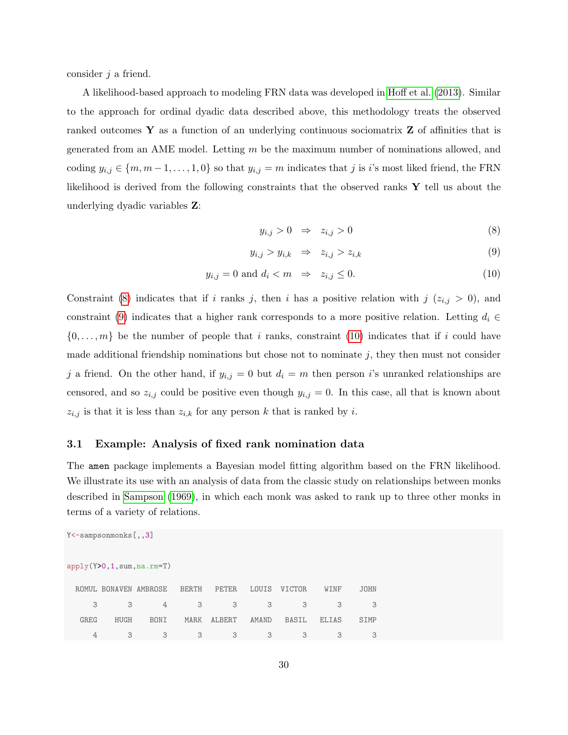consider  $j$  a friend.

A likelihood-based approach to modeling FRN data was developed in [Hoff et al.](#page-47-7) [\(2013\)](#page-47-7). Similar to the approach for ordinal dyadic data described above, this methodology treats the observed ranked outcomes  $\bf{Y}$  as a function of an underlying continuous sociomatrix  $\bf{Z}$  of affinities that is generated from an AME model. Letting  $m$  be the maximum number of nominations allowed, and coding  $y_{i,j} \in \{m, m-1, \ldots, 1, 0\}$  so that  $y_{i,j} = m$  indicates that j is i's most liked friend, the FRN likelihood is derived from the following constraints that the observed ranks Y tell us about the underlying dyadic variables Z:

<span id="page-29-1"></span>
$$
y_{i,j} > 0 \quad \Rightarrow \quad z_{i,j} > 0 \tag{8}
$$

$$
y_{i,j} > y_{i,k} \Rightarrow z_{i,j} > z_{i,k} \tag{9}
$$

$$
y_{i,j} = 0 \text{ and } d_i < m \Rightarrow z_{i,j} \le 0. \tag{10}
$$

Constraint [\(8\)](#page-29-1) indicates that if i ranks j, then i has a positive relation with  $j$  ( $z_{i,j} > 0$ ), and constraint [\(9\)](#page-29-1) indicates that a higher rank corresponds to a more positive relation. Letting  $d_i \in$  $\{0,\ldots,m\}$  be the number of people that i ranks, constraint [\(10\)](#page-29-1) indicates that if i could have made additional friendship nominations but chose not to nominate  $j$ , they then must not consider j a friend. On the other hand, if  $y_{i,j} = 0$  but  $d_i = m$  then person i's unranked relationships are censored, and so  $z_{i,j}$  could be positive even though  $y_{i,j} = 0$ . In this case, all that is known about  $z_{i,j}$  is that it is less than  $z_{i,k}$  for any person k that is ranked by i.

### <span id="page-29-0"></span>3.1 Example: Analysis of fixed rank nomination data

The amen package implements a Bayesian model fitting algorithm based on the FRN likelihood. We illustrate its use with an analysis of data from the classic study on relationships between monks described in [Sampson](#page-47-8) [\(1969\)](#page-47-8), in which each monk was asked to rank up to three other monks in terms of a variety of relations.

| $Y$ < - sampsonmonks $[ , , 3]$ |               |             |              |              |       |               |              |             |  |  |
|---------------------------------|---------------|-------------|--------------|--------------|-------|---------------|--------------|-------------|--|--|
| $apply(Y>0, 1, sum, na.rm=T)$   |               |             |              |              |       |               |              |             |  |  |
|                                 | ROMUL BONAVEN | AMBROSE     | <b>BERTH</b> | <b>PETER</b> | LOUIS | <b>VICTOR</b> | WINF         | <b>JOHN</b> |  |  |
| 3                               | 3             | 4           | 3            | 3            | 3     | 3             | 3            | 3           |  |  |
| <b>GREG</b>                     | <b>HUGH</b>   | <b>BONI</b> | <b>MARK</b>  | ALBERT       | AMAND | <b>BASIL</b>  | <b>ELIAS</b> | SIMP        |  |  |
| 4                               | 3             | 3           | 3            | 3            | 3     | 3             | 3            | 3           |  |  |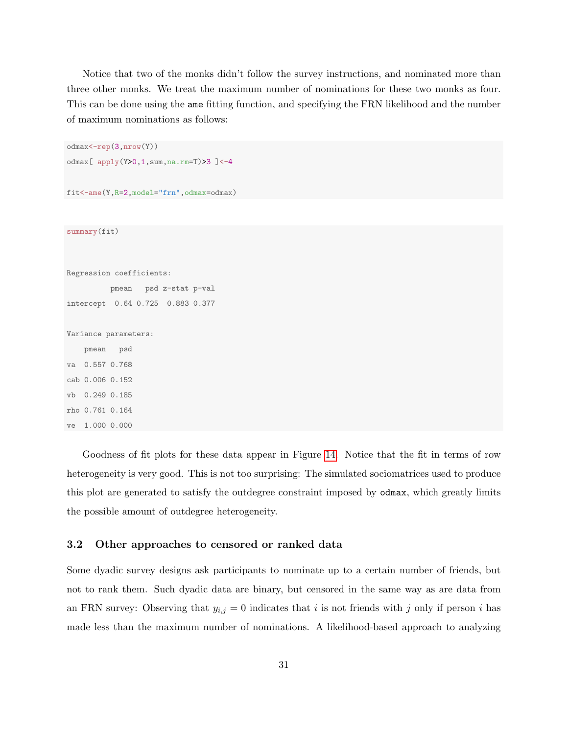Notice that two of the monks didn't follow the survey instructions, and nominated more than three other monks. We treat the maximum number of nominations for these two monks as four. This can be done using the ame fitting function, and specifying the FRN likelihood and the number of maximum nominations as follows:

```
odmax<-rep(3,nrow(Y))
odmax [ apply(Y>0,1,sum,na.rm=T)>3 ]<-4
fit<-ame(Y,R=2,model="frn",odmax=odmax)
summary(fit)
Regression coefficients:
         pmean psd z-stat p-val
intercept 0.64 0.725 0.883 0.377
Variance parameters:
   pmean psd
va 0.557 0.768
cab 0.006 0.152
vb 0.249 0.185
rho 0.761 0.164
ve 1.000 0.000
```
Goodness of fit plots for these data appear in Figure [14.](#page-31-0) Notice that the fit in terms of row heterogeneity is very good. This is not too surprising: The simulated sociomatrices used to produce this plot are generated to satisfy the outdegree constraint imposed by odmax, which greatly limits the possible amount of outdegree heterogeneity.

### <span id="page-30-0"></span>3.2 Other approaches to censored or ranked data

Some dyadic survey designs ask participants to nominate up to a certain number of friends, but not to rank them. Such dyadic data are binary, but censored in the same way as are data from an FRN survey: Observing that  $y_{i,j} = 0$  indicates that i is not friends with j only if person i has made less than the maximum number of nominations. A likelihood-based approach to analyzing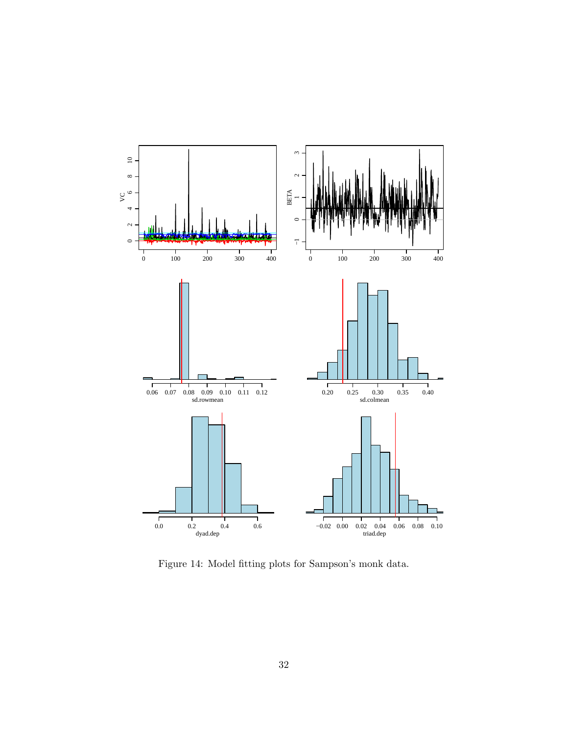

<span id="page-31-0"></span>Figure 14: Model fitting plots for Sampson's monk data.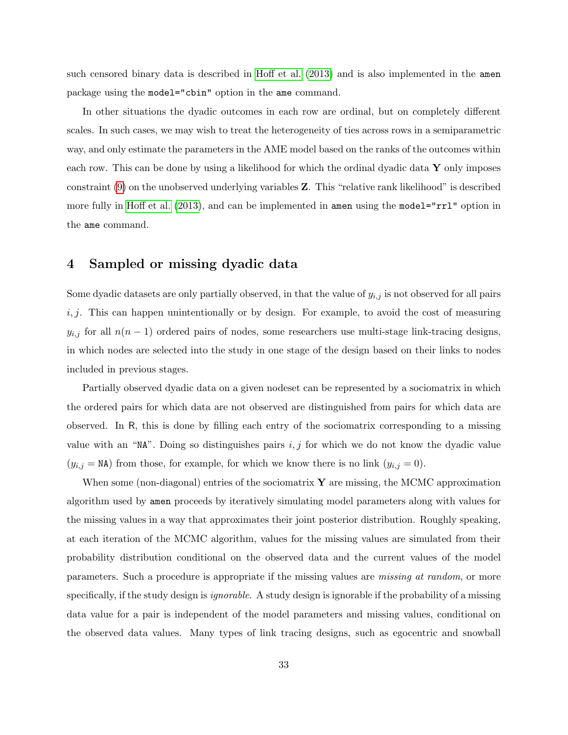such censored binary data is described in [Hoff et al.](#page-47-7) [\(2013\)](#page-47-7) and is also implemented in the amen package using the model="cbin" option in the ame command.

In other situations the dyadic outcomes in each row are ordinal, but on completely different scales. In such cases, we may wish to treat the heterogeneity of ties across rows in a semiparametric way, and only estimate the parameters in the AME model based on the ranks of the outcomes within each row. This can be done by using a likelihood for which the ordinal dyadic data  $\bf{Y}$  only imposes constraint [\(9\)](#page-29-1) on the unobserved underlying variables Z. This "relative rank likelihood" is described more fully in [Hoff et al.](#page-47-7) [\(2013\)](#page-47-7), and can be implemented in amen using the model="rrl" option in the ame command.

### <span id="page-32-0"></span>4 Sampled or missing dyadic data

Some dyadic datasets are only partially observed, in that the value of  $y_{i,j}$  is not observed for all pairs  $i, j$ . This can happen unintentionally or by design. For example, to avoid the cost of measuring  $y_{i,j}$  for all  $n(n-1)$  ordered pairs of nodes, some researchers use multi-stage link-tracing designs, in which nodes are selected into the study in one stage of the design based on their links to nodes included in previous stages.

Partially observed dyadic data on a given nodeset can be represented by a sociomatrix in which the ordered pairs for which data are not observed are distinguished from pairs for which data are observed. In R, this is done by filling each entry of the sociomatrix corresponding to a missing value with an "NA". Doing so distinguishes pairs  $i, j$  for which we do not know the dyadic value  $(y_{i,j} = \texttt{NA})$  from those, for example, for which we know there is no link  $(y_{i,j} = 0)$ .

When some (non-diagonal) entries of the sociomatrix  $\bf{Y}$  are missing, the MCMC approximation algorithm used by amen proceeds by iteratively simulating model parameters along with values for the missing values in a way that approximates their joint posterior distribution. Roughly speaking, at each iteration of the MCMC algorithm, values for the missing values are simulated from their probability distribution conditional on the observed data and the current values of the model parameters. Such a procedure is appropriate if the missing values are missing at random, or more specifically, if the study design is *ignorable*. A study design is ignorable if the probability of a missing data value for a pair is independent of the model parameters and missing values, conditional on the observed data values. Many types of link tracing designs, such as egocentric and snowball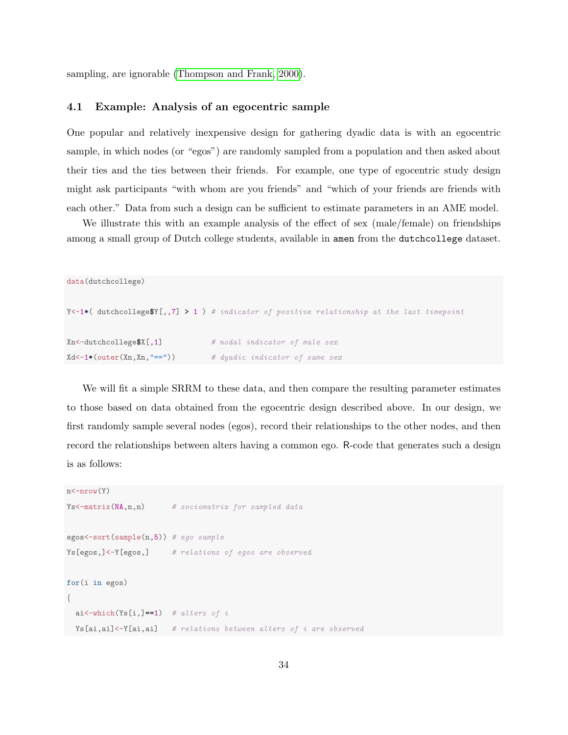sampling, are ignorable [\(Thompson and Frank, 2000\)](#page-47-9).

### <span id="page-33-0"></span>4.1 Example: Analysis of an egocentric sample

One popular and relatively inexpensive design for gathering dyadic data is with an egocentric sample, in which nodes (or "egos") are randomly sampled from a population and then asked about their ties and the ties between their friends. For example, one type of egocentric study design might ask participants "with whom are you friends" and "which of your friends are friends with each other." Data from such a design can be sufficient to estimate parameters in an AME model.

We illustrate this with an example analysis of the effect of sex (male/female) on friendships among a small group of Dutch college students, available in amen from the dutchcollege dataset.

```
data(dutchcollege)
Y<-1*( dutchcollegeY[,,7] > 1 ) # indicator of positive relationship at the last timepoint
Xn <-dutchcollege$X[,1] # nodal indicator of male sex
Xd \leftarrow 1 * (outer(Xn, Xn, "==") ) # dyadic indicator of same sex
```
We will fit a simple SRRM to these data, and then compare the resulting parameter estimates to those based on data obtained from the egocentric design described above. In our design, we first randomly sample several nodes (egos), record their relationships to the other nodes, and then record the relationships between alters having a common ego. R-code that generates such a design is as follows:

```
n<-nrow(Y)
Ys <-matrix (NA, n, n) # sociomatrix for sampled data
egos < -sort(sample(n,5)) # ego sample
Ys[egos,]<-Y[egos,] # relations of egos are observed
for(i in egos)
{
  ai<-which(Ys[i,]==1) # alters of i
 Ys[ai,ai] <-Y[ai,ai] # relations between alters of i are observed
```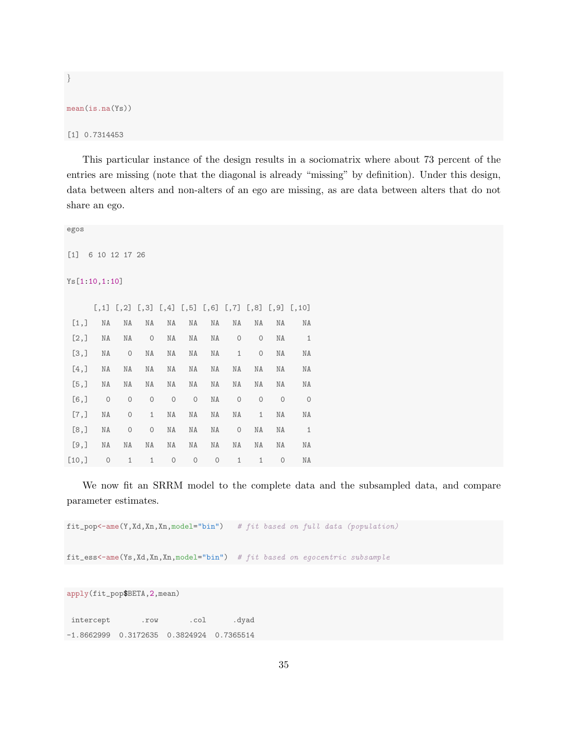```
mean(is.na(Ys))
```
}

[1] 0.7314453

This particular instance of the design results in a sociomatrix where about 73 percent of the entries are missing (note that the diagonal is already "missing" by definition). Under this design, data between alters and non-alters of an ego are missing, as are data between alters that do not share an ego.

| egos          |               |                     |                     |                     |                     |         |              |                     |                     |                                                                        |  |
|---------------|---------------|---------------------|---------------------|---------------------|---------------------|---------|--------------|---------------------|---------------------|------------------------------------------------------------------------|--|
| $[1]$         | 6 10 12 17 26 |                     |                     |                     |                     |         |              |                     |                     |                                                                        |  |
| Ys[1:10,1:10] |               |                     |                     |                     |                     |         |              |                     |                     |                                                                        |  |
|               |               |                     |                     |                     |                     |         |              |                     |                     | $[,1]$ $[,2]$ $[,3]$ $[,4]$ $[,5]$ $[,6]$ $[,7]$ $[,8]$ $[,9]$ $[,10]$ |  |
| [1,]          | NA            | ΝA                  | ΝA                  | NA                  | ΝA                  | ΝA      | NA           | NA                  | ΝA                  | NA                                                                     |  |
| [2,]          | NA            | ΝA                  | $\circ$             | ΝA                  | ΝA                  | ΝA      | $\circ$      | $\circ$             | ΝA                  | 1                                                                      |  |
| [3,]          | NA            | $\circ$             | NA                  | NA                  | ΝA                  | ΝA      | $\mathbf{1}$ | $\circ$             | ΝA                  | NA                                                                     |  |
| [4,]          | NA            | ΝA                  | NA                  | NA                  | NA                  | ΝA      | $\rm NA$     | NA                  | NA                  | NA                                                                     |  |
| [5,]          | NA            | ΝA                  | NA                  | NA                  | ΝA                  | ΝA      | NA           | NA                  | NA                  | NA                                                                     |  |
| $[6,$ ]       | $\circ$       | $\circ$             | $\mathsf{O}\xspace$ | $\mathsf{O}\xspace$ | $\circ$             | ΝA      | $\circ$      | $\mathsf{O}\xspace$ | $\mathbf{0}$        | $\circ$                                                                |  |
| [7,]          | NA            | $\mathsf{O}\xspace$ | $\mathbf 1$         | NA                  | ΝA                  | ΝA      | NA           | $\mathbf{1}$        | ΝA                  | NA                                                                     |  |
| [8,]          | NA            | $\circ$             | $\mathsf{O}\xspace$ | NA                  | NA                  | ΝA      | $\circ$      | ΝA                  | NA                  | $\mathbf{1}$                                                           |  |
| [9,]          | NA            | ΝA                  | NA                  | NA                  | ΝA                  | ΝA      | NA           | NA                  | ΝA                  | ΝA                                                                     |  |
| [10,]         | $\circ$       | $\mathbf 1$         | $1\,$               | $\mathsf{O}\xspace$ | $\mathsf{O}\xspace$ | $\circ$ | $1\,$        | $\mathbf{1}$        | $\mathsf{O}\xspace$ | ΝA                                                                     |  |

We now fit an SRRM model to the complete data and the subsampled data, and compare parameter estimates.

fit\_pop<-ame(Y,Xd,Xn,Xn,model="bin") # fit based on full data (population)

fit\_ess<-ame(Ys,Xd,Xn,Xn,model="bin") # fit based on egocentric subsample

apply(fit\_pop\$BETA,2,mean)

intercept .row .col .dyad -1.8662999 0.3172635 0.3824924 0.7365514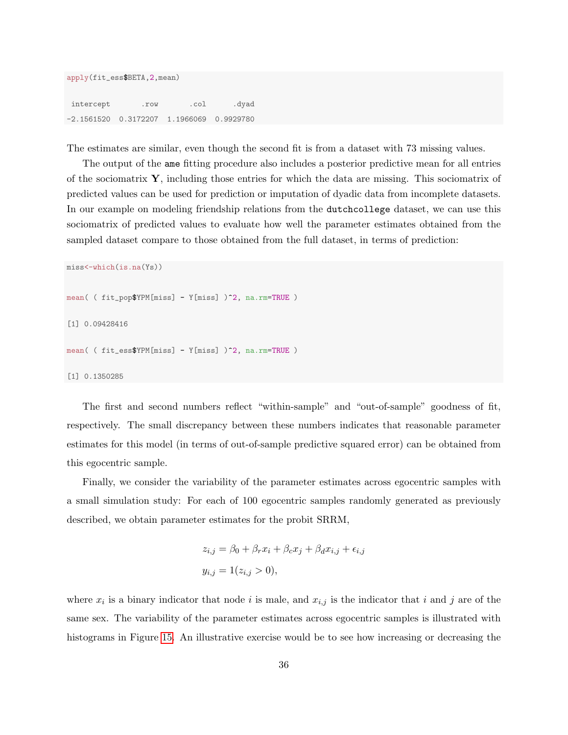| apply(fit_ess\$BETA, 2, mean)              |  |  |       |  |  |
|--------------------------------------------|--|--|-------|--|--|
| intercept .row .col                        |  |  | .dyad |  |  |
| $-2.1561520$ 0.3172207 1.1966069 0.9929780 |  |  |       |  |  |

The estimates are similar, even though the second fit is from a dataset with 73 missing values.

The output of the ame fitting procedure also includes a posterior predictive mean for all entries of the sociomatrix  $\mathbf{Y}$ , including those entries for which the data are missing. This sociomatrix of predicted values can be used for prediction or imputation of dyadic data from incomplete datasets. In our example on modeling friendship relations from the dutchcollege dataset, we can use this sociomatrix of predicted values to evaluate how well the parameter estimates obtained from the sampled dataset compare to those obtained from the full dataset, in terms of prediction:

```
miss<-which(is.na(Ys))
mean( ( fit_pop$YPM[miss] - Y[miss] )^2, na.rm=TRUE )
[1] 0.09428416
mean( ( fit_ess$YPM[miss] - Y[miss] )^2, na.rm=TRUE )
[1] 0.1350285
```
The first and second numbers reflect "within-sample" and "out-of-sample" goodness of fit, respectively. The small discrepancy between these numbers indicates that reasonable parameter estimates for this model (in terms of out-of-sample predictive squared error) can be obtained from this egocentric sample.

Finally, we consider the variability of the parameter estimates across egocentric samples with a small simulation study: For each of 100 egocentric samples randomly generated as previously described, we obtain parameter estimates for the probit SRRM,

$$
z_{i,j} = \beta_0 + \beta_r x_i + \beta_c x_j + \beta_d x_{i,j} + \epsilon_{i,j}
$$
  

$$
y_{i,j} = 1(z_{i,j} > 0),
$$

where  $x_i$  is a binary indicator that node i is male, and  $x_{i,j}$  is the indicator that i and j are of the same sex. The variability of the parameter estimates across egocentric samples is illustrated with histograms in Figure [15.](#page-36-1) An illustrative exercise would be to see how increasing or decreasing the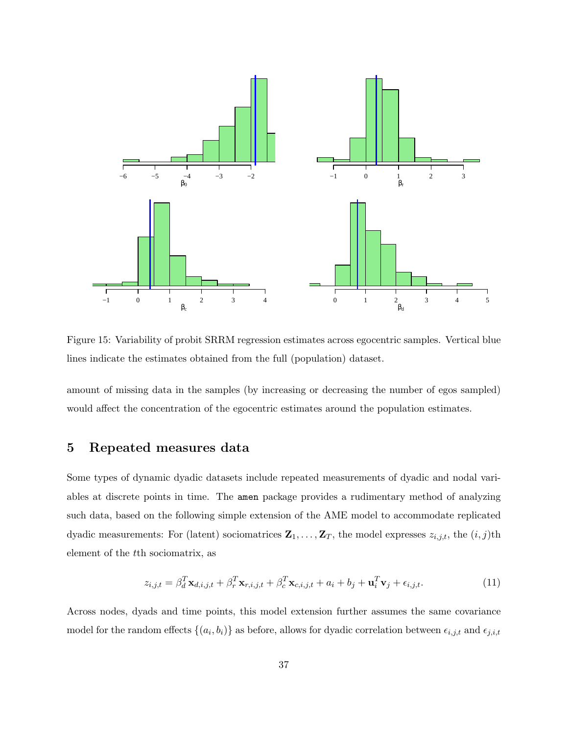

<span id="page-36-1"></span>Figure 15: Variability of probit SRRM regression estimates across egocentric samples. Vertical blue lines indicate the estimates obtained from the full (population) dataset.

amount of missing data in the samples (by increasing or decreasing the number of egos sampled) would affect the concentration of the egocentric estimates around the population estimates.

## <span id="page-36-0"></span>5 Repeated measures data

Some types of dynamic dyadic datasets include repeated measurements of dyadic and nodal variables at discrete points in time. The amen package provides a rudimentary method of analyzing such data, based on the following simple extension of the AME model to accommodate replicated dyadic measurements: For (latent) sociomatrices  $\mathbf{Z}_1, \ldots, \mathbf{Z}_T$ , the model expresses  $z_{i,j,t}$ , the  $(i, j)$ th element of the tth sociomatrix, as

<span id="page-36-2"></span>
$$
z_{i,j,t} = \beta_d^T \mathbf{x}_{d,i,j,t} + \beta_r^T \mathbf{x}_{r,i,j,t} + \beta_c^T \mathbf{x}_{c,i,j,t} + a_i + b_j + \mathbf{u}_i^T \mathbf{v}_j + \epsilon_{i,j,t}.
$$
 (11)

Across nodes, dyads and time points, this model extension further assumes the same covariance model for the random effects  $\{(a_i, b_i)\}\$ as before, allows for dyadic correlation between  $\epsilon_{i,j,t}$  and  $\epsilon_{j,i,t}$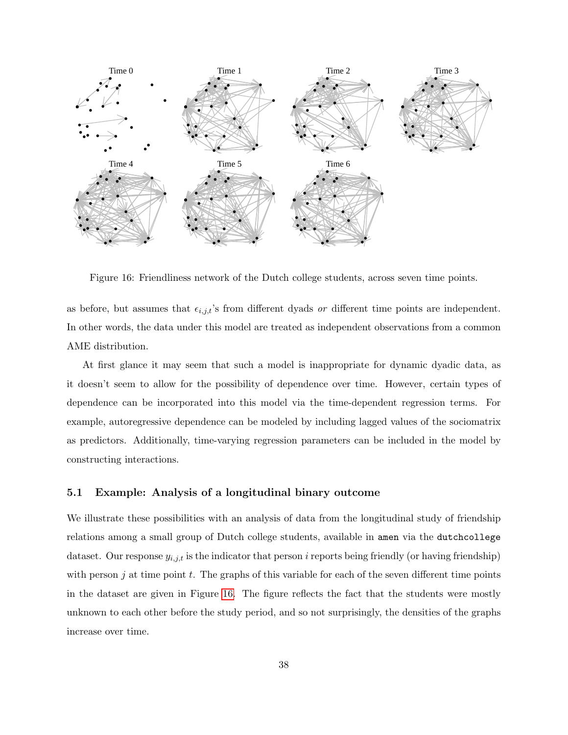

<span id="page-37-1"></span>Figure 16: Friendliness network of the Dutch college students, across seven time points.

as before, but assumes that  $\epsilon_{i,j,t}$ 's from different dyads or different time points are independent. In other words, the data under this model are treated as independent observations from a common AME distribution.

At first glance it may seem that such a model is inappropriate for dynamic dyadic data, as it doesn't seem to allow for the possibility of dependence over time. However, certain types of dependence can be incorporated into this model via the time-dependent regression terms. For example, autoregressive dependence can be modeled by including lagged values of the sociomatrix as predictors. Additionally, time-varying regression parameters can be included in the model by constructing interactions.

### <span id="page-37-0"></span>5.1 Example: Analysis of a longitudinal binary outcome

We illustrate these possibilities with an analysis of data from the longitudinal study of friendship relations among a small group of Dutch college students, available in amen via the dutchcollege dataset. Our response  $y_{i,j,t}$  is the indicator that person i reports being friendly (or having friendship) with person j at time point t. The graphs of this variable for each of the seven different time points in the dataset are given in Figure [16.](#page-37-1) The figure reflects the fact that the students were mostly unknown to each other before the study period, and so not surprisingly, the densities of the graphs increase over time.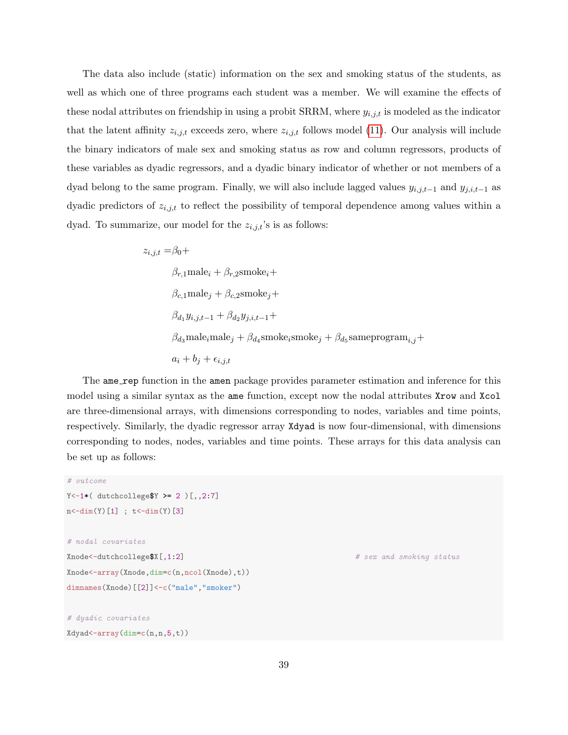The data also include (static) information on the sex and smoking status of the students, as well as which one of three programs each student was a member. We will examine the effects of these nodal attributes on friendship in using a probit SRRM, where  $y_{i,j,t}$  is modeled as the indicator that the latent affinity  $z_{i,j,t}$  exceeds zero, where  $z_{i,j,t}$  follows model [\(11\)](#page-36-2). Our analysis will include the binary indicators of male sex and smoking status as row and column regressors, products of these variables as dyadic regressors, and a dyadic binary indicator of whether or not members of a dyad belong to the same program. Finally, we will also include lagged values  $y_{i,j,t-1}$  and  $y_{j,i,t-1}$  as dyadic predictors of  $z_{i,j,t}$  to reflect the possibility of temporal dependence among values within a dyad. To summarize, our model for the  $z_{i,j,t}$ 's is as follows:

$$
z_{i,j,t} = \beta_0 +
$$
  
\n
$$
\beta_{r,1} \text{male}_i + \beta_{r,2} \text{smoke}_i +
$$
  
\n
$$
\beta_{c,1} \text{male}_j + \beta_{c,2} \text{smoke}_j +
$$
  
\n
$$
\beta_{d_1} y_{i,j,t-1} + \beta_{d_2} y_{j,i,t-1} +
$$
  
\n
$$
\beta_{d_3} \text{male}_i \text{male}_j + \beta_{d_4} \text{smoke}_i \text{smoke}_j + \beta_{d_5} \text{sameprogram}_{i,j} +
$$
  
\n
$$
a_i + b_j + \epsilon_{i,j,t}
$$

The ame\_rep function in the amen package provides parameter estimation and inference for this model using a similar syntax as the ame function, except now the nodal attributes Xrow and Xcol are three-dimensional arrays, with dimensions corresponding to nodes, variables and time points, respectively. Similarly, the dyadic regressor array Xdyad is now four-dimensional, with dimensions corresponding to nodes, nodes, variables and time points. These arrays for this data analysis can be set up as follows:

```
# outcome
Y <- 1* ( dutchcollege Y \ge 2 ) [,,2:7]
n < -dim(Y)[1] ; t < -dim(Y)[3]
# nodal covariates
Xnode<-dutchcollege$X[,1:2] # sex and smoking status
Xnode<-array(Xnode,dim=c(n,ncol(Xnode),t))
dimnames(Xnode)[[2]]<-c("male","smoker")
# dyadic covariates
```

```
Xdyad<-array(dim=c(n,n,5,t))
```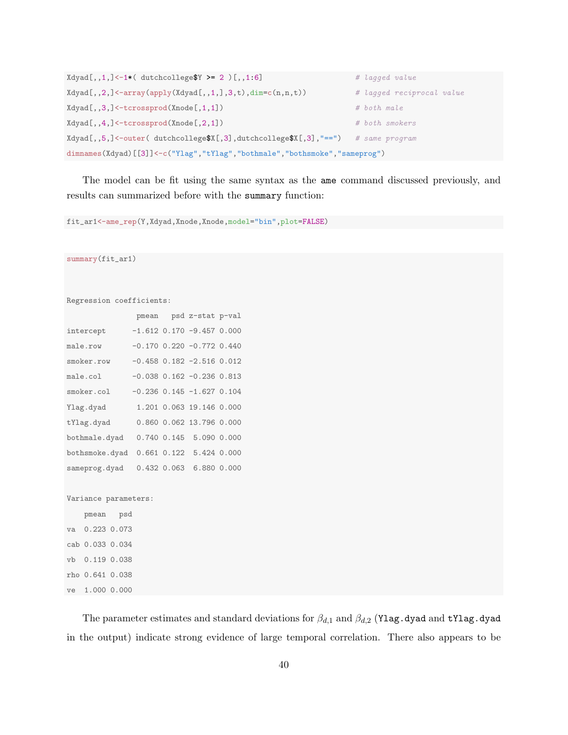```
Xdyad[,,1,]-1*(-1*(-dt) dutchcollege$Y >= 2 )[,,1:6] # lagged value
Xdyad[,,2,]<-array(apply(Xdyad[,,1,],3,t),dim=c(n,n,t)) # lagged reciprocal value
Xdyad[,,3,3] < -tcrossprod(Xnode[,1,1]) # both male
Xdyad[,,4,]<-tcrossprod(Xnode[,2,1]) # both smokers
Xdyad[,,5,]<-outer( dutchcollege$X[,3],dutchcollege$X[,3],"==") # same program
dimnames(Xdyad)[[3]]<-c("Ylag","tYlag","bothmale","bothsmoke","sameprog")
```
The model can be fit using the same syntax as the ame command discussed previously, and results can summarized before with the summary function:

fit\_ar1<-ame\_rep(Y,Xdyad,Xnode,Xnode,model="bin",plot=FALSE)

summary(fit\_ar1)

```
Regression coefficients:
```

|                |  | pmean psd z-stat p-val            |  |
|----------------|--|-----------------------------------|--|
| intercept      |  | $-1.612$ 0.170 $-9.457$ 0.000     |  |
| male.row       |  | $-0.170$ $0.220$ $-0.772$ $0.440$ |  |
| smoker.row     |  | $-0.458$ $0.182$ $-2.516$ $0.012$ |  |
| male.col       |  | $-0.038$ $0.162$ $-0.236$ $0.813$ |  |
| smoker.col     |  | $-0.236$ $0.145$ $-1.627$ $0.104$ |  |
| Ylag.dyad      |  | 1.201 0.063 19.146 0.000          |  |
| tYlag.dyad     |  | 0.860 0.062 13.796 0.000          |  |
| bothmale.dyad  |  | 0.740 0.145 5.090 0.000           |  |
| bothsmoke.dyad |  | 0.661 0.122 5.424 0.000           |  |
| sameprog.dyad  |  | 0.432 0.063 6.880 0.000           |  |
|                |  |                                   |  |

Variance parameters:

pmean psd va 0.223 0.073 cab 0.033 0.034 vb 0.119 0.038 rho 0.641 0.038 ve 1.000 0.000

The parameter estimates and standard deviations for  $\beta_{d,1}$  and  $\beta_{d,2}$  (Ylag.dyad and tYlag.dyad in the output) indicate strong evidence of large temporal correlation. There also appears to be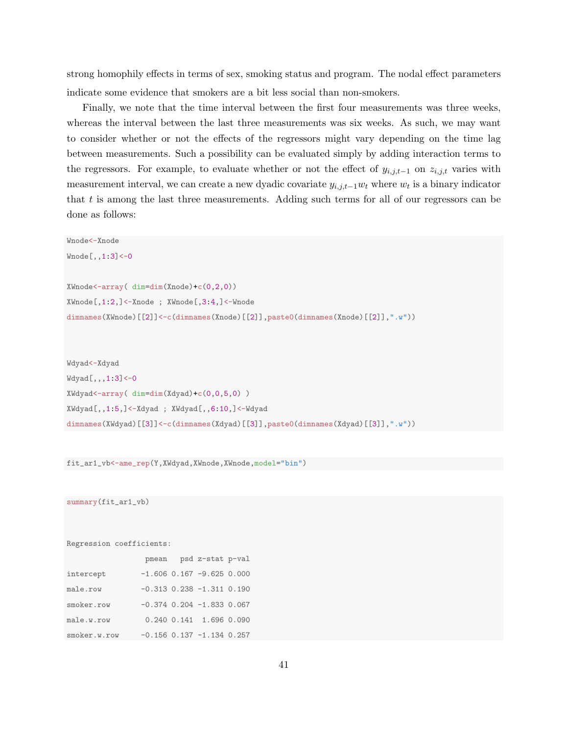strong homophily effects in terms of sex, smoking status and program. The nodal effect parameters indicate some evidence that smokers are a bit less social than non-smokers.

Finally, we note that the time interval between the first four measurements was three weeks, whereas the interval between the last three measurements was six weeks. As such, we may want to consider whether or not the effects of the regressors might vary depending on the time lag between measurements. Such a possibility can be evaluated simply by adding interaction terms to the regressors. For example, to evaluate whether or not the effect of  $y_{i,j,t-1}$  on  $z_{i,j,t}$  varies with measurement interval, we can create a new dyadic covariate  $y_{i,j,t-1}$  $w_t$  where  $w_t$  is a binary indicator that t is among the last three measurements. Adding such terms for all of our regressors can be done as follows:

```
Wnode<-Xnode
Wnode[,,1:3]<-0
XWnode<-array( dim=dim(Xnode)+c(0,2,0))
XWnode[,1:2,]<-Xnode ; XWnode[,3:4,]<-Wnode
dimnames(XWnode)[[2]]<-c(dimnames(Xnode)[[2]],paste0(dimnames(Xnode)[[2]],".w"))
```
Wdyad<-Xdyad Wdyad[,,,1:3]<-0 XWdyad<-array( dim=dim(Xdyad)+c(0,0,5,0) ) XWdyad[,,1:5,]<-Xdyad ; XWdyad[,,6:10,]<-Wdyad dimnames(XWdyad)[[3]]<-c(dimnames(Xdyad)[[3]],paste0(dimnames(Xdyad)[[3]],".w"))

fit\_ar1\_vb<-ame\_rep(Y,XWdyad,XWnode,XWnode,model="bin")

summary(fit\_ar1\_vb)

Regression coefficients:

|              |  | pmean psd z-stat p-val            |  |
|--------------|--|-----------------------------------|--|
| intercept    |  | $-1.606$ 0.167 $-9.625$ 0.000     |  |
| male.row     |  | $-0.313$ $0.238$ $-1.311$ $0.190$ |  |
| smoker.row   |  | $-0.374$ 0.204 $-1.833$ 0.067     |  |
| male.w.row   |  | 0.240 0.141 1.696 0.090           |  |
| smoker.w.row |  | $-0.156$ 0.137 $-1.134$ 0.257     |  |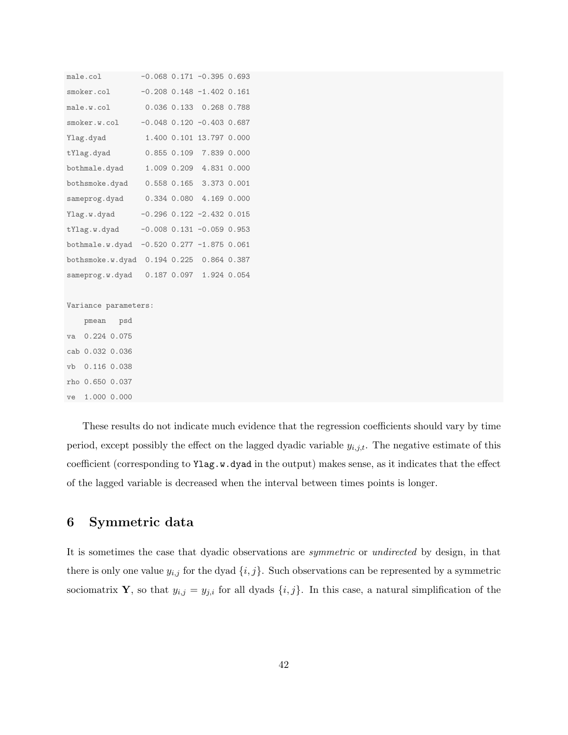| male.col                                 |  |  | $-0.068$ 0.171 $-0.395$ 0.693     |  |  |
|------------------------------------------|--|--|-----------------------------------|--|--|
| smoker.col                               |  |  | $-0.208$ $0.148$ $-1.402$ $0.161$ |  |  |
| male.w.col 0.036 0.133 0.268 0.788       |  |  |                                   |  |  |
| smoker.w.col                             |  |  | $-0.048$ 0.120 $-0.403$ 0.687     |  |  |
| Ylag.dyad                                |  |  | 1.400 0.101 13.797 0.000          |  |  |
| tYlag.dyad                               |  |  | 0.855 0.109 7.839 0.000           |  |  |
| bothmale.dyad 1.009 0.209 4.831 0.000    |  |  |                                   |  |  |
| bothsmoke.dyad 0.558 0.165 3.373 0.001   |  |  |                                   |  |  |
| sameprog.dyad 0.334 0.080 4.169 0.000    |  |  |                                   |  |  |
| Ylag.w.dyad                              |  |  | $-0.296$ $0.122$ $-2.432$ $0.015$ |  |  |
| tYlag.w.dyad                             |  |  | $-0.008$ 0.131 $-0.059$ 0.953     |  |  |
| bothmale.w.dyad                          |  |  | $-0.520$ 0.277 $-1.875$ 0.061     |  |  |
| bothsmoke.w.dyad 0.194 0.225 0.864 0.387 |  |  |                                   |  |  |
| sameprog.w.dyad 0.187 0.097 1.924 0.054  |  |  |                                   |  |  |
|                                          |  |  |                                   |  |  |
| Variance parameters:                     |  |  |                                   |  |  |
| pmean psd                                |  |  |                                   |  |  |
| va 0.224 0.075                           |  |  |                                   |  |  |
| cab 0.032 0.036                          |  |  |                                   |  |  |
|                                          |  |  |                                   |  |  |

vb 0.116 0.038 rho 0.650 0.037 ve 1.000 0.000

These results do not indicate much evidence that the regression coefficients should vary by time period, except possibly the effect on the lagged dyadic variable  $y_{i,j,t}$ . The negative estimate of this coefficient (corresponding to Ylag.w.dyad in the output) makes sense, as it indicates that the effect of the lagged variable is decreased when the interval between times points is longer.

# <span id="page-41-0"></span>6 Symmetric data

It is sometimes the case that dyadic observations are symmetric or undirected by design, in that there is only one value  $y_{i,j}$  for the dyad  $\{i,j\}$ . Such observations can be represented by a symmetric sociomatrix **Y**, so that  $y_{i,j} = y_{j,i}$  for all dyads  $\{i, j\}$ . In this case, a natural simplification of the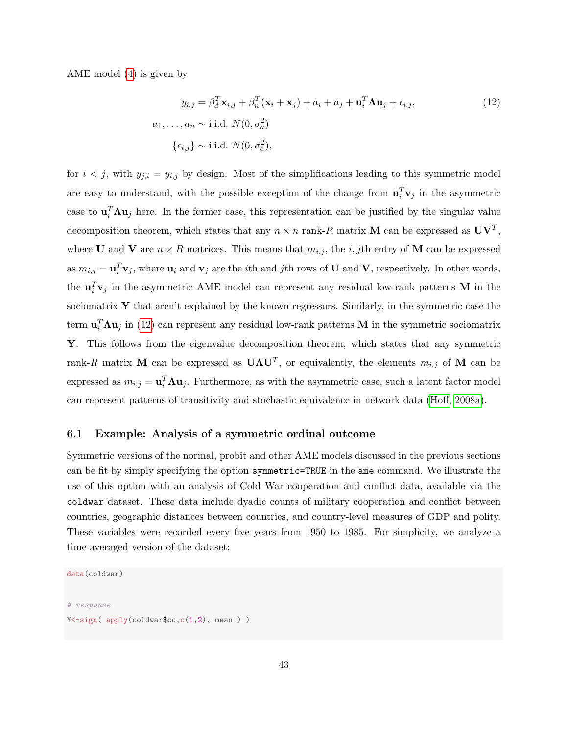AME model [\(4\)](#page-15-0) is given by

<span id="page-42-1"></span>
$$
y_{i,j} = \beta_d^T \mathbf{x}_{i,j} + \beta_n^T (\mathbf{x}_i + \mathbf{x}_j) + a_i + a_j + \mathbf{u}_i^T \mathbf{\Lambda} \mathbf{u}_j + \epsilon_{i,j},
$$
  
\n
$$
a_1, \dots, a_n \sim \text{i.i.d. } N(0, \sigma_a^2)
$$
  
\n
$$
\{\epsilon_{i,j}\} \sim \text{i.i.d. } N(0, \sigma_e^2),
$$
\n(12)

for  $i < j$ , with  $y_{j,i} = y_{i,j}$  by design. Most of the simplifications leading to this symmetric model are easy to understand, with the possible exception of the change from  $\mathbf{u}_i^T \mathbf{v}_j$  in the asymmetric case to  $\mathbf{u}_i^T \mathbf{\Lambda} \mathbf{u}_j$  here. In the former case, this representation can be justified by the singular value decomposition theorem, which states that any  $n \times n$  rank-R matrix M can be expressed as  $UV<sup>T</sup>$ , where **U** and **V** are  $n \times R$  matrices. This means that  $m_{i,j}$ , the *i*, *j*th entry of **M** can be expressed as  $m_{i,j} = \mathbf{u}_i^T \mathbf{v}_j$ , where  $\mathbf{u}_i$  and  $\mathbf{v}_j$  are the *i*th and *j*th rows of **U** and **V**, respectively. In other words, the  $\mathbf{u}_i^T \mathbf{v}_j$  in the asymmetric AME model can represent any residual low-rank patterns M in the sociomatrix  $\mathbf Y$  that aren't explained by the known regressors. Similarly, in the symmetric case the term  $\mathbf{u}_i^T \mathbf{\Lambda} \mathbf{u}_j$  in [\(12\)](#page-42-1) can represent any residual low-rank patterns M in the symmetric sociomatrix Y. This follows from the eigenvalue decomposition theorem, which states that any symmetric rank-R matrix M can be expressed as  $U\Lambda U^T$ , or equivalently, the elements  $m_{i,j}$  of M can be expressed as  $m_{i,j} = \mathbf{u}_i^T \mathbf{\Lambda} \mathbf{u}_j$ . Furthermore, as with the asymmetric case, such a latent factor model can represent patterns of transitivity and stochastic equivalence in network data [\(Hoff, 2008a\)](#page-47-10).

### <span id="page-42-0"></span>6.1 Example: Analysis of a symmetric ordinal outcome

Symmetric versions of the normal, probit and other AME models discussed in the previous sections can be fit by simply specifying the option symmetric=TRUE in the ame command. We illustrate the use of this option with an analysis of Cold War cooperation and conflict data, available via the coldwar dataset. These data include dyadic counts of military cooperation and conflict between countries, geographic distances between countries, and country-level measures of GDP and polity. These variables were recorded every five years from 1950 to 1985. For simplicity, we analyze a time-averaged version of the dataset:

```
data(coldwar)
# response
Y \leftarrowsign( apply(coldwar$cc,c(1,2), mean ) )
```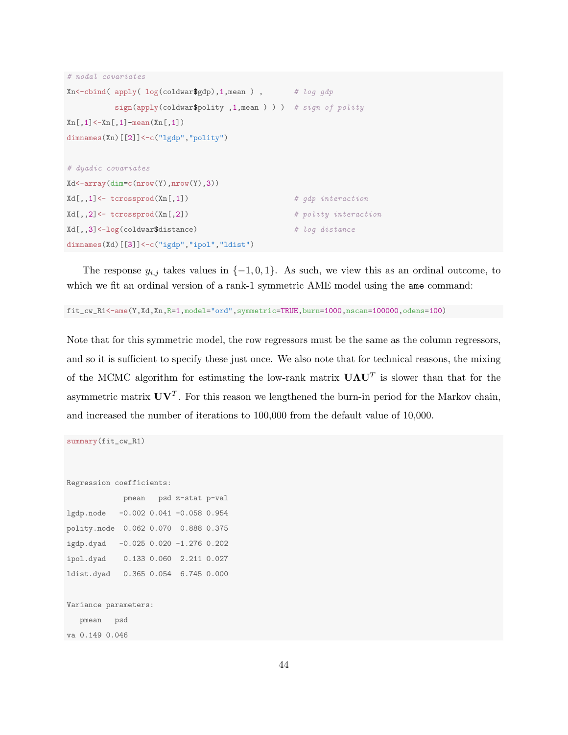```
# nodal covariates
Xn <-cbind( apply( log(coldwar$gdp), 1, mean ), # log gdp
         sign(apply(coldwar\$polity, 1, mean) ) ) # sign of polity
Xn[,1]<-Xn[,1]-mean(Xn[,1])
dimnames(Xn)[[2]]<-c("lgdp","polity")
# dyadic covariates
Xd<-array(dim=c(nrow(Y),nrow(Y),3))
Xd[,,1] \leftarrow tcrossprod(Xn[,1]) # gdp interaction
Xd[,, 2] <- tcrossprod(Xn[,2]) \qquad # polity interaction
Xd[,,3]<-log(coldwar$distance) # log distance
dimnames(Xd)[[3]] <-c("igdp","ipol","ldist")
```
The response  $y_{i,j}$  takes values in  $\{-1,0,1\}$ . As such, we view this as an ordinal outcome, to which we fit an ordinal version of a rank-1 symmetric AME model using the ame command:

fit\_cw\_R1<-ame(Y,Xd,Xn,R=1,model="ord",symmetric=TRUE,burn=1000,nscan=100000,odens=100)

Note that for this symmetric model, the row regressors must be the same as the column regressors, and so it is sufficient to specify these just once. We also note that for technical reasons, the mixing of the MCMC algorithm for estimating the low-rank matrix  $U\Lambda U^T$  is slower than that for the asymmetric matrix  $\mathbf{U}\mathbf{V}^T$ . For this reason we lengthened the burn-in period for the Markov chain, and increased the number of iterations to 100,000 from the default value of 10,000.

```
Regression coefficients:
           pmean psd z-stat p-val
lgdp.node -0.002 0.041 -0.058 0.954
polity.node 0.062 0.070 0.888 0.375
igdp.dyad -0.025 0.020 -1.276 0.202
ipol.dyad 0.133 0.060 2.211 0.027
ldist.dyad 0.365 0.054 6.745 0.000
Variance parameters:
  pmean psd
va 0.149 0.046
```
summary(fit\_cw\_R1)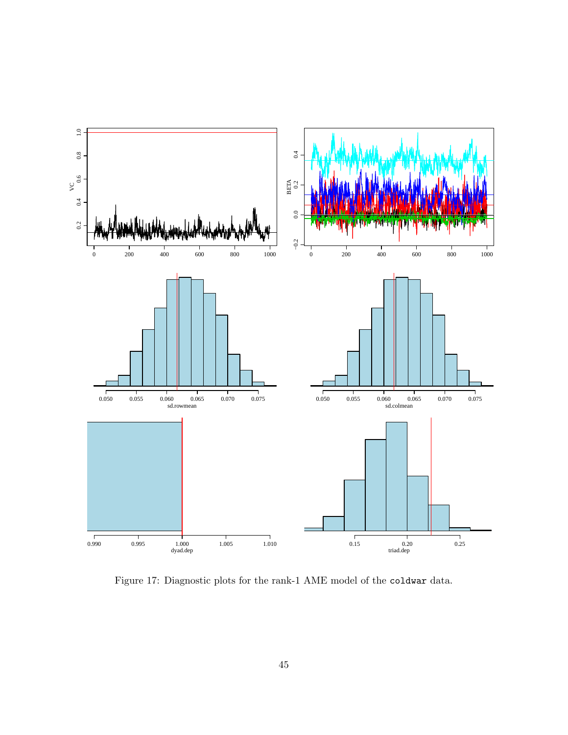

Figure 17: Diagnostic plots for the rank-1 AME model of the coldwar data.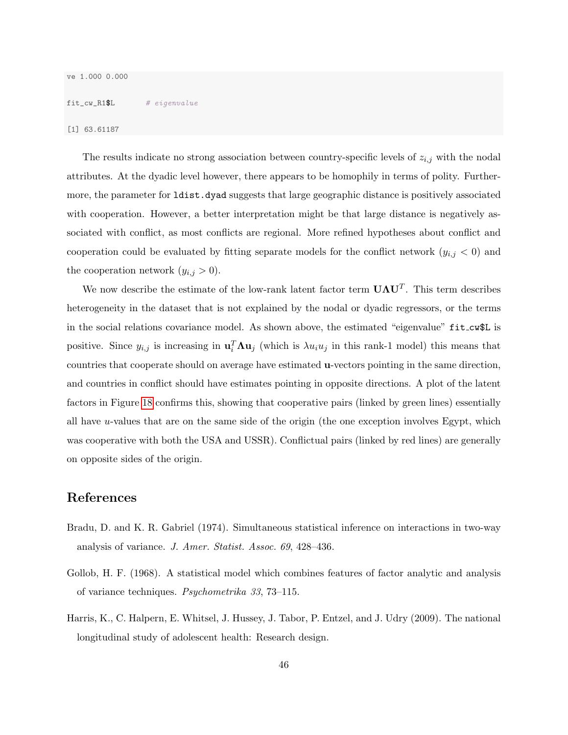### fit\_cw\_R1\$L # eigenvalue

[1] 63.61187

The results indicate no strong association between country-specific levels of  $z_{i,j}$  with the nodal attributes. At the dyadic level however, there appears to be homophily in terms of polity. Furthermore, the parameter for ldist.dyad suggests that large geographic distance is positively associated with cooperation. However, a better interpretation might be that large distance is negatively associated with conflict, as most conflicts are regional. More refined hypotheses about conflict and cooperation could be evaluated by fitting separate models for the conflict network  $(y_{i,j} < 0)$  and the cooperation network  $(y_{i,j} > 0)$ .

We now describe the estimate of the low-rank latent factor term  $\mathbf{U}\mathbf{\Lambda}\mathbf{U}^T$ . This term describes heterogeneity in the dataset that is not explained by the nodal or dyadic regressors, or the terms in the social relations covariance model. As shown above, the estimated "eigenvalue" fit\_cw\$L is positive. Since  $y_{i,j}$  is increasing in  $\mathbf{u}_i^T \mathbf{\Lambda} \mathbf{u}_j$  (which is  $\lambda u_i u_j$  in this rank-1 model) this means that countries that cooperate should on average have estimated u-vectors pointing in the same direction, and countries in conflict should have estimates pointing in opposite directions. A plot of the latent factors in Figure [18](#page-46-0) confirms this, showing that cooperative pairs (linked by green lines) essentially all have  $u$ -values that are on the same side of the origin (the one exception involves Egypt, which was cooperative with both the USA and USSR). Conflictual pairs (linked by red lines) are generally on opposite sides of the origin.

### References

- <span id="page-45-1"></span>Bradu, D. and K. R. Gabriel (1974). Simultaneous statistical inference on interactions in two-way analysis of variance. J. Amer. Statist. Assoc. 69, 428–436.
- <span id="page-45-0"></span>Gollob, H. F. (1968). A statistical model which combines features of factor analytic and analysis of variance techniques. Psychometrika 33, 73–115.
- <span id="page-45-2"></span>Harris, K., C. Halpern, E. Whitsel, J. Hussey, J. Tabor, P. Entzel, and J. Udry (2009). The national longitudinal study of adolescent health: Research design.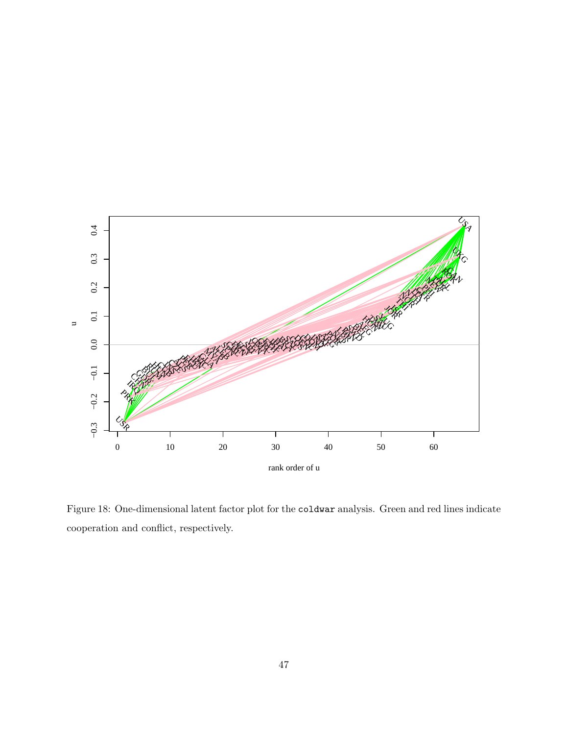

<span id="page-46-0"></span>Figure 18: One-dimensional latent factor plot for the coldwar analysis. Green and red lines indicate cooperation and conflict, respectively.